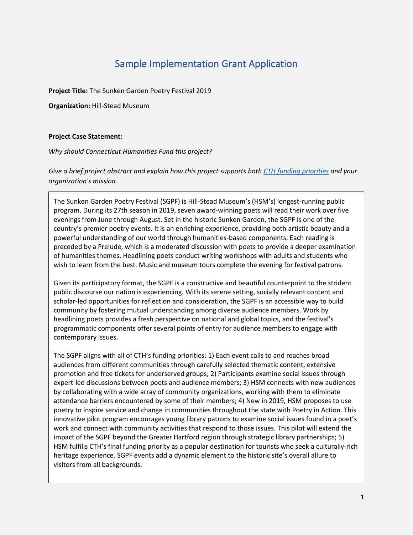# Sample Implementation Grant Application

**Project Title:** The Sunken Garden Poetry Festival 2019

**Organization:** Hill-Stead Museum

### **Project Case Statement:**

*Why should Connecticut Humanities Fund this project?*

*Give a brief project abstract and explain how this project supports both [CTH funding priorities](https://cthumanities.org/funding-priorities/) and your organization's mission.*

The Sunken Garden Poetry Festival (SGPF) is Hill-Stead Museum's (HSM's) longest-running public program. During its 27th season in 2019, seven award-winning poets will read their work over five evenings from June through August. Set in the historic Sunken Garden, the SGPF is one of the country's premier poetry events. It is an enriching experience, providing both artistic beauty and a powerful understanding of our world through humanities-based components. Each reading is preceded by a Prelude, which is a moderated discussion with poets to provide a deeper examination of humanities themes. Headlining poets conduct writing workshops with adults and students who wish to learn from the best. Music and museum tours complete the evening for festival patrons.

Given its participatory format, the SGPF is a constructive and beautiful counterpoint to the strident public discourse our nation is experiencing. With its serene setting, socially relevant content and scholar-led opportunities for reflection and consideration, the SGPF is an accessible way to build community by fostering mutual understanding among diverse audience members. Work by headlining poets provides a fresh perspective on national and global topics, and the festival's programmatic components offer several points of entry for audience members to engage with contemporary issues.

The SGPF aligns with all of CTH's funding priorities: 1) Each event calls to and reaches broad audiences from different communities through carefully selected thematic content, extensive promotion and free tickets for underserved groups; 2) Participants examine social issues through expert-led discussions between poets and audience members; 3) HSM connects with new audiences by collaborating with a wide array of community organizations, working with them to eliminate attendance barriers encountered by some of their members; 4) New in 2019, HSM proposes to use poetry to inspire service and change in communities throughout the state with Poetry in Action. This innovative pilot program encourages young library patrons to examine social issues found in a poet's work and connect with community activities that respond to those issues. This pilot will extend the impact of the SGPF beyond the Greater Hartford region through strategic library partnerships; 5) HSM fulfills CTH's final funding priority as a popular destination for tourists who seek a culturally-rich heritage experience. SGPF events add a dynamic element to the historic site's overall allure to visitors from all backgrounds.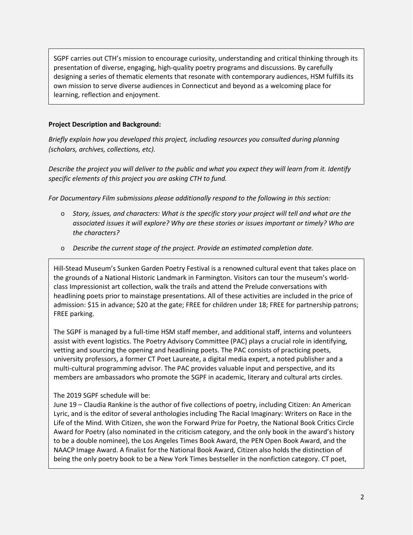SGPF carries out CTH's mission to encourage curiosity, understanding and critical thinking through its presentation of diverse, engaging, high-quality poetry programs and discussions. By carefully designing a series of thematic elements that resonate with contemporary audiences, HSM fulfills its own mission to serve diverse audiences in Connecticut and beyond as a welcoming place for learning, reflection and enjoyment.

### **Project Description and Background:**

*Briefly explain how you developed this project, including resources you consulted during planning (scholars, archives, collections, etc).*

*Describe the project you will deliver to the public and what you expect they will learn from it. Identify specific elements of this project you are asking CTH to fund.*

*For Documentary Film submissions please additionally respond to the following in this section:*

- o *Story, issues, and characters: What is the specific story your project will tell and what are the associated issues it will explore? Why are these stories or issues important or timely? Who are the characters?*
- o *Describe the current stage of the project. Provide an estimated completion date.*

Hill-Stead Museum's Sunken Garden Poetry Festival is a renowned cultural event that takes place on the grounds of a National Historic Landmark in Farmington. Visitors can tour the museum's worldclass Impressionist art collection, walk the trails and attend the Prelude conversations with headlining poets prior to mainstage presentations. All of these activities are included in the price of admission: \$15 in advance; \$20 at the gate; FREE for children under 18; FREE for partnership patrons; FREE parking.

The SGPF is managed by a full-time HSM staff member, and additional staff, interns and volunteers assist with event logistics. The Poetry Advisory Committee (PAC) plays a crucial role in identifying, vetting and sourcing the opening and headlining poets. The PAC consists of practicing poets, university professors, a former CT Poet Laureate, a digital media expert, a noted publisher and a multi-cultural programming advisor. The PAC provides valuable input and perspective, and its members are ambassadors who promote the SGPF in academic, literary and cultural arts circles.

### The 2019 SGPF schedule will be:

June 19 – Claudia Rankine is the author of five collections of poetry, including Citizen: An American Lyric, and is the editor of several anthologies including The Racial Imaginary: Writers on Race in the Life of the Mind. With Citizen, she won the Forward Prize for Poetry, the National Book Critics Circle Award for Poetry (also nominated in the criticism category, and the only book in the award's history to be a double nominee), the Los Angeles Times Book Award, the PEN Open Book Award, and the NAACP Image Award. A finalist for the National Book Award, Citizen also holds the distinction of being the only poetry book to be a New York Times bestseller in the nonfiction category. CT poet,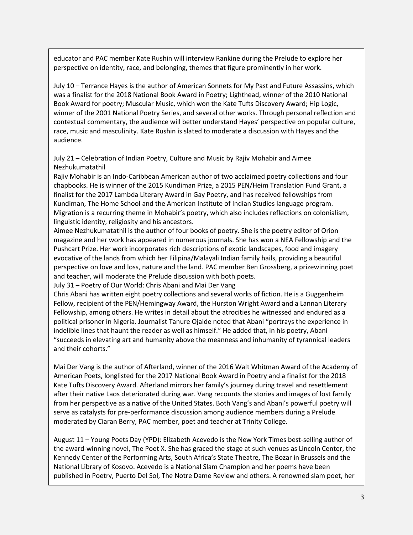educator and PAC member Kate Rushin will interview Rankine during the Prelude to explore her perspective on identity, race, and belonging, themes that figure prominently in her work.

July 10 – Terrance Hayes is the author of American Sonnets for My Past and Future Assassins, which was a finalist for the 2018 National Book Award in Poetry; Lighthead, winner of the 2010 National Book Award for poetry; Muscular Music, which won the Kate Tufts Discovery Award; Hip Logic, winner of the 2001 National Poetry Series, and several other works. Through personal reflection and contextual commentary, the audience will better understand Hayes' perspective on popular culture, race, music and masculinity. Kate Rushin is slated to moderate a discussion with Hayes and the audience.

July 21 – Celebration of Indian Poetry, Culture and Music by Rajiv Mohabir and Aimee Nezhukumatathil

Rajiv Mohabir is an Indo-Caribbean American author of two acclaimed poetry collections and four chapbooks. He is winner of the 2015 Kundiman Prize, a 2015 PEN/Heim Translation Fund Grant, a finalist for the 2017 Lambda Literary Award in Gay Poetry, and has received fellowships from Kundiman, The Home School and the American Institute of Indian Studies language program. Migration is a recurring theme in Mohabir's poetry, which also includes reflections on colonialism, linguistic identity, religiosity and his ancestors.

Aimee Nezhukumatathil is the author of four books of poetry. She is the poetry editor of Orion magazine and her work has appeared in numerous journals. She has won a NEA Fellowship and the Pushcart Prize. Her work incorporates rich descriptions of exotic landscapes, food and imagery evocative of the lands from which her Filipina/Malayali Indian family hails, providing a beautiful perspective on love and loss, nature and the land. PAC member Ben Grossberg, a prizewinning poet and teacher, will moderate the Prelude discussion with both poets.

July 31 – Poetry of Our World: Chris Abani and Mai Der Vang

Chris Abani has written eight poetry collections and several works of fiction. He is a Guggenheim Fellow, recipient of the PEN/Hemingway Award, the Hurston Wright Award and a Lannan Literary Fellowship, among others. He writes in detail about the atrocities he witnessed and endured as a political prisoner in Nigeria. Journalist Tanure Ojaide noted that Abani "portrays the experience in indelible lines that haunt the reader as well as himself." He added that, in his poetry, Abani "succeeds in elevating art and humanity above the meanness and inhumanity of tyrannical leaders and their cohorts."

Mai Der Vang is the author of Afterland, winner of the 2016 Walt Whitman Award of the Academy of American Poets, longlisted for the 2017 National Book Award in Poetry and a finalist for the 2018 Kate Tufts Discovery Award. Afterland mirrors her family's journey during travel and resettlement after their native Laos deteriorated during war. Vang recounts the stories and images of lost family from her perspective as a native of the United States. Both Vang's and Abani's powerful poetry will serve as catalysts for pre-performance discussion among audience members during a Prelude moderated by Ciaran Berry, PAC member, poet and teacher at Trinity College.

August 11 – Young Poets Day (YPD): Elizabeth Acevedo is the New York Times best-selling author of the award-winning novel, The Poet X. She has graced the stage at such venues as Lincoln Center, the Kennedy Center of the Performing Arts, South Africa's State Theatre, The Bozar in Brussels and the National Library of Kosovo. Acevedo is a National Slam Champion and her poems have been published in Poetry, Puerto Del Sol, The Notre Dame Review and others. A renowned slam poet, her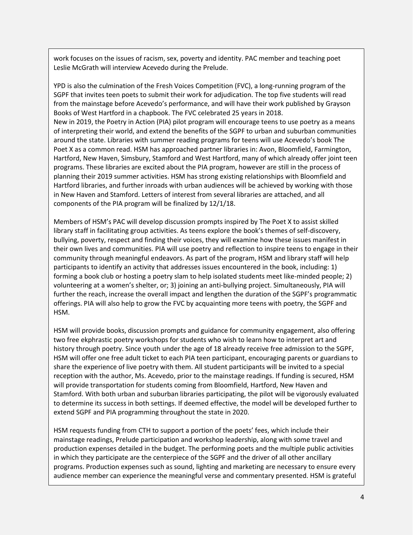work focuses on the issues of racism, sex, poverty and identity. PAC member and teaching poet Leslie McGrath will interview Acevedo during the Prelude.

YPD is also the culmination of the Fresh Voices Competition (FVC), a long-running program of the SGPF that invites teen poets to submit their work for adjudication. The top five students will read from the mainstage before Acevedo's performance, and will have their work published by Grayson Books of West Hartford in a chapbook. The FVC celebrated 25 years in 2018. New in 2019, the Poetry in Action (PIA) pilot program will encourage teens to use poetry as a means of interpreting their world, and extend the benefits of the SGPF to urban and suburban communities around the state. Libraries with summer reading programs for teens will use Acevedo's book The Poet X as a common read. HSM has approached partner libraries in: Avon, Bloomfield, Farmington, Hartford, New Haven, Simsbury, Stamford and West Hartford, many of which already offer joint teen programs. These libraries are excited about the PIA program, however are still in the process of planning their 2019 summer activities. HSM has strong existing relationships with Bloomfield and Hartford libraries, and further inroads with urban audiences will be achieved by working with those in New Haven and Stamford. Letters of interest from several libraries are attached, and all components of the PIA program will be finalized by 12/1/18.

Members of HSM's PAC will develop discussion prompts inspired by The Poet X to assist skilled library staff in facilitating group activities. As teens explore the book's themes of self-discovery, bullying, poverty, respect and finding their voices, they will examine how these issues manifest in their own lives and communities. PIA will use poetry and reflection to inspire teens to engage in their community through meaningful endeavors. As part of the program, HSM and library staff will help participants to identify an activity that addresses issues encountered in the book, including: 1) forming a book club or hosting a poetry slam to help isolated students meet like-minded people; 2) volunteering at a women's shelter, or; 3) joining an anti-bullying project. Simultaneously, PIA will further the reach, increase the overall impact and lengthen the duration of the SGPF's programmatic offerings. PIA will also help to grow the FVC by acquainting more teens with poetry, the SGPF and HSM.

HSM will provide books, discussion prompts and guidance for community engagement, also offering two free ekphrastic poetry workshops for students who wish to learn how to interpret art and history through poetry. Since youth under the age of 18 already receive free admission to the SGPF, HSM will offer one free adult ticket to each PIA teen participant, encouraging parents or guardians to share the experience of live poetry with them. All student participants will be invited to a special reception with the author, Ms. Acevedo, prior to the mainstage readings. If funding is secured, HSM will provide transportation for students coming from Bloomfield, Hartford, New Haven and Stamford. With both urban and suburban libraries participating, the pilot will be vigorously evaluated to determine its success in both settings. If deemed effective, the model will be developed further to extend SGPF and PIA programming throughout the state in 2020.

HSM requests funding from CTH to support a portion of the poets' fees, which include their mainstage readings, Prelude participation and workshop leadership, along with some travel and production expenses detailed in the budget. The performing poets and the multiple public activities in which they participate are the centerpiece of the SGPF and the driver of all other ancillary programs. Production expenses such as sound, lighting and marketing are necessary to ensure every audience member can experience the meaningful verse and commentary presented. HSM is grateful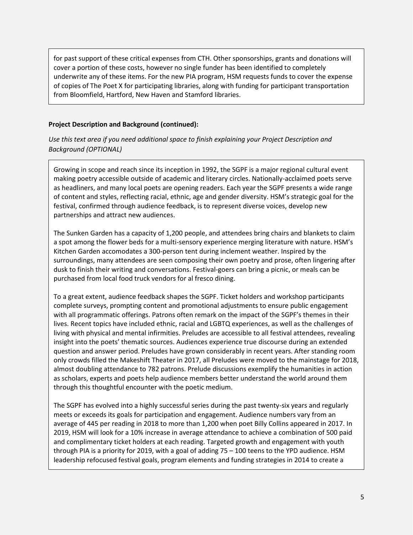for past support of these critical expenses from CTH. Other sponsorships, grants and donations will cover a portion of these costs, however no single funder has been identified to completely underwrite any of these items. For the new PIA program, HSM requests funds to cover the expense of copies of The Poet X for participating libraries, along with funding for participant transportation from Bloomfield, Hartford, New Haven and Stamford libraries.

### **Project Description and Background (continued):**

*Use this text area if you need additional space to finish explaining your Project Description and Background (OPTIONAL)*

Growing in scope and reach since its inception in 1992, the SGPF is a major regional cultural event making poetry accessible outside of academic and literary circles. Nationally-acclaimed poets serve as headliners, and many local poets are opening readers. Each year the SGPF presents a wide range of content and styles, reflecting racial, ethnic, age and gender diversity. HSM's strategic goal for the festival, confirmed through audience feedback, is to represent diverse voices, develop new partnerships and attract new audiences.

The Sunken Garden has a capacity of 1,200 people, and attendees bring chairs and blankets to claim a spot among the flower beds for a multi-sensory experience merging literature with nature. HSM's Kitchen Garden accomodates a 300-person tent during inclement weather. Inspired by the surroundings, many attendees are seen composing their own poetry and prose, often lingering after dusk to finish their writing and conversations. Festival-goers can bring a picnic, or meals can be purchased from local food truck vendors for al fresco dining.

To a great extent, audience feedback shapes the SGPF. Ticket holders and workshop participants complete surveys, prompting content and promotional adjustments to ensure public engagement with all programmatic offerings. Patrons often remark on the impact of the SGPF's themes in their lives. Recent topics have included ethnic, racial and LGBTQ experiences, as well as the challenges of living with physical and mental infirmities. Preludes are accessible to all festival attendees, revealing insight into the poets' thematic sources. Audiences experience true discourse during an extended question and answer period. Preludes have grown considerably in recent years. After standing room only crowds filled the Makeshift Theater in 2017, all Preludes were moved to the mainstage for 2018, almost doubling attendance to 782 patrons. Prelude discussions exemplify the humanities in action as scholars, experts and poets help audience members better understand the world around them through this thoughtful encounter with the poetic medium.

The SGPF has evolved into a highly successful series during the past twenty-six years and regularly meets or exceeds its goals for participation and engagement. Audience numbers vary from an average of 445 per reading in 2018 to more than 1,200 when poet Billy Collins appeared in 2017. In 2019, HSM will look for a 10% increase in average attendance to achieve a combination of 500 paid and complimentary ticket holders at each reading. Targeted growth and engagement with youth through PIA is a priority for 2019, with a goal of adding 75 – 100 teens to the YPD audience. HSM leadership refocused festival goals, program elements and funding strategies in 2014 to create a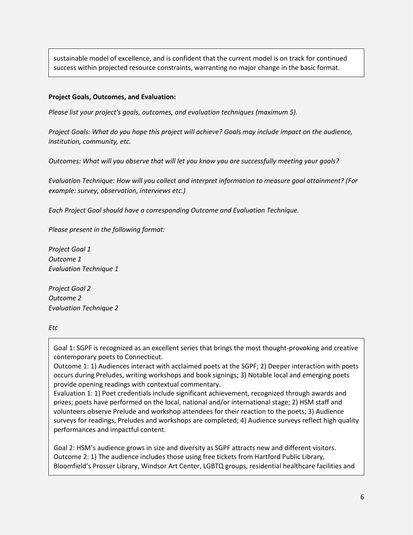sustainable model of excellence, and is confident that the current model is on track for continued success within projected resource constraints, warranting no major change in the basic format.

### **Project Goals, Outcomes, and Evaluation:**

*Please list your project's goals, outcomes, and evaluation techniques (maximum 5).*

*Project Goals: What do you hope this project will achieve? Goals may include impact on the audience, institution, community, etc.*

*Outcomes: What will you observe that will let you know you are successfully meeting your goals?*

*Evaluation Technique: How will you collect and interpret information to measure goal attainment? (For example: survey, observation, interviews etc.)*

*Each Project Goal should have a corresponding Outcome and Evaluation Technique.*

*Please present in the following format:*

*Project Goal 1 Outcome 1 Evaluation Technique 1*

*Project Goal 2 Outcome 2 Evaluation Technique 2*

*Etc*

Goal 1: SGPF is recognized as an excellent series that brings the most thought-provoking and creative contemporary poets to Connecticut.

Outcome 1: 1) Audiences interact with acclaimed poets at the SGPF; 2) Deeper interaction with poets occurs during Preludes, writing workshops and book signings; 3) Notable local and emerging poets provide opening readings with contextual commentary.

Evaluation 1: 1) Poet credentials include significant achievement, recognized through awards and prizes; poets have performed on the local, national and/or international stage; 2) HSM staff and volunteers observe Prelude and workshop attendees for their reaction to the poets; 3) Audience surveys for readings, Preludes and workshops are completed; 4) Audience surveys reflect high quality performances and impactful content.

Goal 2: HSM's audience grows in size and diversity as SGPF attracts new and different visitors. Outcome 2: 1) The audience includes those using free tickets from Hartford Public Library, Bloomfield's Prosser Library, Windsor Art Center, LGBTQ groups, residential healthcare facilities and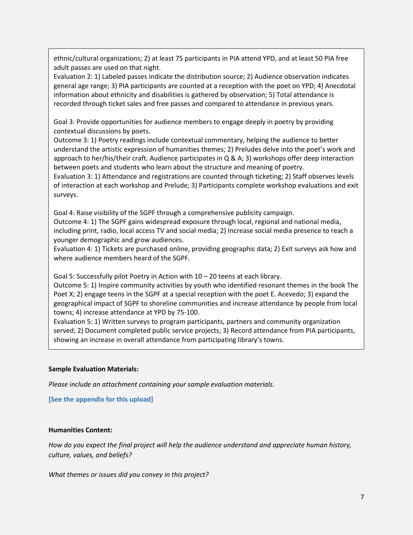ethnic/cultural organizations; 2) at least 75 participants in PIA attend YPD, and at least 50 PIA free adult passes are used on that night.

Evaluation 2: 1) Labeled passes indicate the distribution source; 2) Audience observation indicates general age range; 3) PIA participants are counted at a reception with the poet on YPD; 4) Anecdotal information about ethnicity and disabilities is gathered by observation; 5) Total attendance is recorded through ticket sales and free passes and compared to attendance in previous years.

Goal 3: Provide opportunities for audience members to engage deeply in poetry by providing contextual discussions by poets.

Outcome 3: 1) Poetry readings include contextual commentary, helping the audience to better understand the artistic expression of humanities themes; 2) Preludes delve into the poet's work and approach to her/his/their craft. Audience participates in  $Q \& A$ ; 3) workshops offer deep interaction between poets and students who learn about the structure and meaning of poetry.

Evaluation 3: 1) Attendance and registrations are counted through ticketing; 2) Staff observes levels of interaction at each workshop and Prelude; 3) Participants complete workshop evaluations and exit surveys.

Goal 4: Raise visibility of the SGPF through a comprehensive publicity campaign. Outcome 4: 1) The SGPF gains widespread exposure through local, regional and national media, including print, radio, local access TV and social media; 2) Increase social media presence to reach a younger demographic and grow audiences.

Evaluation 4: 1) Tickets are purchased online, providing geographic data; 2) Exit surveys ask how and where audience members heard of the SGPF.

Goal 5: Successfully pilot Poetry in Action with 10 – 20 teens at each library.

Outcome 5: 1) Inspire community activities by youth who identified resonant themes in the book The Poet X; 2) engage teens in the SGPF at a special reception with the poet E. Acevedo; 3) expand the geographical impact of SGPF to shoreline communities and increase attendance by people from local towns; 4) increase attendance at YPD by 75-100.

Evaluation 5: 1) Written surveys to program participants, partners and community organization served; 2) Document completed public service projects; 3) Record attendance from PIA participants, showing an increase in overall attendance from participating library's towns.

### **Sample Evaluation Materials:**

*Please include an attachment containing your sample evaluation materials.*

**[See the appendix for this upload]**

### **Humanities Content:**

*How do you expect the final project will help the audience understand and appreciate human history, culture, values, and beliefs?*

*What themes or issues did you convey in this project?*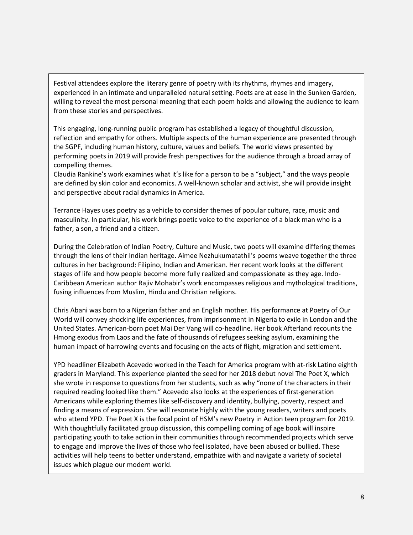Festival attendees explore the literary genre of poetry with its rhythms, rhymes and imagery, experienced in an intimate and unparalleled natural setting. Poets are at ease in the Sunken Garden, willing to reveal the most personal meaning that each poem holds and allowing the audience to learn from these stories and perspectives.

This engaging, long-running public program has established a legacy of thoughtful discussion, reflection and empathy for others. Multiple aspects of the human experience are presented through the SGPF, including human history, culture, values and beliefs. The world views presented by performing poets in 2019 will provide fresh perspectives for the audience through a broad array of compelling themes.

Claudia Rankine's work examines what it's like for a person to be a "subject," and the ways people are defined by skin color and economics. A well-known scholar and activist, she will provide insight and perspective about racial dynamics in America.

Terrance Hayes uses poetry as a vehicle to consider themes of popular culture, race, music and masculinity. In particular, his work brings poetic voice to the experience of a black man who is a father, a son, a friend and a citizen.

During the Celebration of Indian Poetry, Culture and Music, two poets will examine differing themes through the lens of their Indian heritage. Aimee Nezhukumatathil's poems weave together the three cultures in her background: Filipino, Indian and American. Her recent work looks at the different stages of life and how people become more fully realized and compassionate as they age. Indo-Caribbean American author Rajiv Mohabir's work encompasses religious and mythological traditions, fusing influences from Muslim, Hindu and Christian religions.

Chris Abani was born to a Nigerian father and an English mother. His performance at Poetry of Our World will convey shocking life experiences, from imprisonment in Nigeria to exile in London and the United States. American-born poet Mai Der Vang will co-headline. Her book Afterland recounts the Hmong exodus from Laos and the fate of thousands of refugees seeking asylum, examining the human impact of harrowing events and focusing on the acts of flight, migration and settlement.

YPD headliner Elizabeth Acevedo worked in the Teach for America program with at-risk Latino eighth graders in Maryland. This experience planted the seed for her 2018 debut novel The Poet X, which she wrote in response to questions from her students, such as why "none of the characters in their required reading looked like them." Acevedo also looks at the experiences of first-generation Americans while exploring themes like self-discovery and identity, bullying, poverty, respect and finding a means of expression. She will resonate highly with the young readers, writers and poets who attend YPD. The Poet X is the focal point of HSM's new Poetry in Action teen program for 2019. With thoughtfully facilitated group discussion, this compelling coming of age book will inspire participating youth to take action in their communities through recommended projects which serve to engage and improve the lives of those who feel isolated, have been abused or bullied. These activities will help teens to better understand, empathize with and navigate a variety of societal issues which plague our modern world.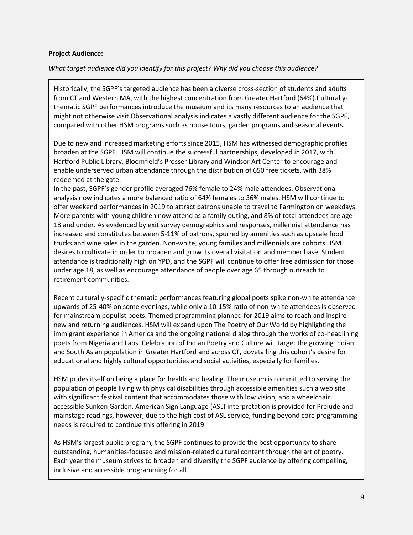### **Project Audience:**

### *What target audience did you identify for this project? Why did you choose this audience?*

Historically, the SGPF's targeted audience has been a diverse cross-section of students and adults from CT and Western MA, with the highest concentration from Greater Hartford (64%).Culturallythematic SGPF performances introduce the museum and its many resources to an audience that might not otherwise visit.Observational analysis indicates a vastly different audience for the SGPF, compared with other HSM programs such as house tours, garden programs and seasonal events.

Due to new and increased marketing efforts since 2015, HSM has witnessed demographic profiles broaden at the SGPF. HSM will continue the successful partnerships, developed in 2017, with Hartford Public Library, Bloomfield's Prosser Library and Windsor Art Center to encourage and enable underserved urban attendance through the distribution of 650 free tickets, with 38% redeemed at the gate.

In the past, SGPF's gender profile averaged 76% female to 24% male attendees. Observational analysis now indicates a more balanced ratio of 64% females to 36% males. HSM will continue to offer weekend performances in 2019 to attract patrons unable to travel to Farmington on weekdays. More parents with young children now attend as a family outing, and 8% of total attendees are age 18 and under. As evidenced by exit survey demographics and responses, millennial attendance has increased and constitutes between 5-11% of patrons, spurred by amenities such as upscale food trucks and wine sales in the garden. Non-white, young families and millennials are cohorts HSM desires to cultivate in order to broaden and grow its overall visitation and member base. Student attendance is traditionally high on YPD, and the SGPF will continue to offer free admission for those under age 18, as well as encourage attendance of people over age 65 through outreach to retirement communities.

Recent culturally-specific thematic performances featuring global poets spike non-white attendance upwards of 25-40% on some evenings, while only a 10-15% ratio of non-white attendees is observed for mainstream populist poets. Themed programming planned for 2019 aims to reach and inspire new and returning audiences. HSM will expand upon The Poetry of Our World by highlighting the immigrant experience in America and the ongoing national dialog through the works of co-headlining poets from Nigeria and Laos. Celebration of Indian Poetry and Culture will target the growing Indian and South Asian population in Greater Hartford and across CT, dovetailing this cohort's desire for educational and highly cultural opportunities and social activities, especially for families.

HSM prides itself on being a place for health and healing. The museum is committed to serving the population of people living with physical disabilities through accessible amenities such a web site with significant festival content that accommodates those with low vision, and a wheelchair accessible Sunken Garden. American Sign Language (ASL) interpretation is provided for Prelude and mainstage readings, however, due to the high cost of ASL service, funding beyond core programming needs is required to continue this offering in 2019.

As HSM's largest public program, the SGPF continues to provide the best opportunity to share outstanding, humanities-focused and mission-related cultural content through the art of poetry. Each year the museum strives to broaden and diversify the SGPF audience by offering compelling, inclusive and accessible programming for all.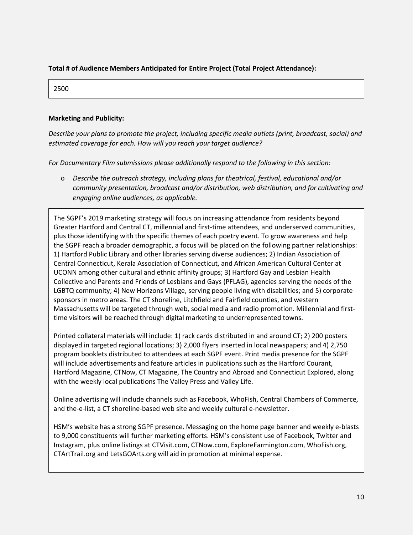### **Total # of Audience Members Anticipated for Entire Project (Total Project Attendance):**

2500

#### **Marketing and Publicity:**

*Describe your plans to promote the project, including specific media outlets (print, broadcast, social) and estimated coverage for each. How will you reach your target audience?*

*For Documentary Film submissions please additionally respond to the following in this section:*

o *Describe the outreach strategy, including plans for theatrical, festival, educational and/or community presentation, broadcast and/or distribution, web distribution, and for cultivating and engaging online audiences, as applicable.*

The SGPF's 2019 marketing strategy will focus on increasing attendance from residents beyond Greater Hartford and Central CT, millennial and first-time attendees, and underserved communities, plus those identifying with the specific themes of each poetry event. To grow awareness and help the SGPF reach a broader demographic, a focus will be placed on the following partner relationships: 1) Hartford Public Library and other libraries serving diverse audiences; 2) Indian Association of Central Connecticut, Kerala Association of Connecticut, and African American Cultural Center at UCONN among other cultural and ethnic affinity groups; 3) Hartford Gay and Lesbian Health Collective and Parents and Friends of Lesbians and Gays (PFLAG), agencies serving the needs of the LGBTQ community; 4) New Horizons Village, serving people living with disabilities; and 5) corporate sponsors in metro areas. The CT shoreline, Litchfield and Fairfield counties, and western Massachusetts will be targeted through web, social media and radio promotion. Millennial and firsttime visitors will be reached through digital marketing to underrepresented towns.

Printed collateral materials will include: 1) rack cards distributed in and around CT; 2) 200 posters displayed in targeted regional locations; 3) 2,000 flyers inserted in local newspapers; and 4) 2,750 program booklets distributed to attendees at each SGPF event. Print media presence for the SGPF will include advertisements and feature articles in publications such as the Hartford Courant, Hartford Magazine, CTNow, CT Magazine, The Country and Abroad and Connecticut Explored, along with the weekly local publications The Valley Press and Valley Life.

Online advertising will include channels such as Facebook, WhoFish, Central Chambers of Commerce, and the-e-list, a CT shoreline-based web site and weekly cultural e-newsletter.

HSM's website has a strong SGPF presence. Messaging on the home page banner and weekly e-blasts to 9,000 constituents will further marketing efforts. HSM's consistent use of Facebook, Twitter and Instagram, plus online listings at CTVisit.com, CTNow.com, ExploreFarmington.com, WhoFish.org, CTArtTrail.org and LetsGOArts.org will aid in promotion at minimal expense.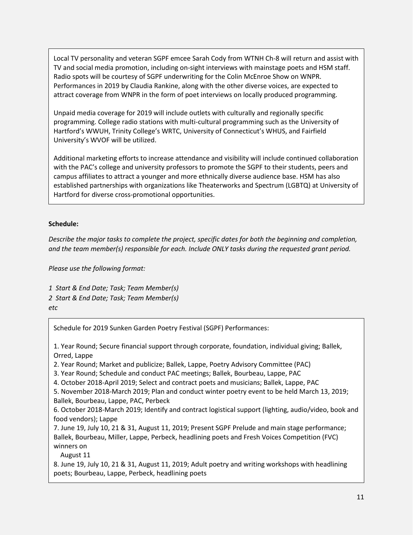Local TV personality and veteran SGPF emcee Sarah Cody from WTNH Ch-8 will return and assist with TV and social media promotion, including on-sight interviews with mainstage poets and HSM staff. Radio spots will be courtesy of SGPF underwriting for the Colin McEnroe Show on WNPR. Performances in 2019 by Claudia Rankine, along with the other diverse voices, are expected to attract coverage from WNPR in the form of poet interviews on locally produced programming.

Unpaid media coverage for 2019 will include outlets with culturally and regionally specific programming. College radio stations with multi-cultural programming such as the University of Hartford's WWUH, Trinity College's WRTC, University of Connecticut's WHUS, and Fairfield University's WVOF will be utilized.

Additional marketing efforts to increase attendance and visibility will include continued collaboration with the PAC's college and university professors to promote the SGPF to their students, peers and campus affiliates to attract a younger and more ethnically diverse audience base. HSM has also established partnerships with organizations like Theaterworks and Spectrum (LGBTQ) at University of Hartford for diverse cross-promotional opportunities.

### **Schedule:**

*Describe the major tasks to complete the project, specific dates for both the beginning and completion, and the team member(s) responsible for each. Include ONLY tasks during the requested grant period.*

*Please use the following format:*

*1 Start & End Date; Task; Team Member(s) 2 Start & End Date; Task; Team Member(s) etc*

Schedule for 2019 Sunken Garden Poetry Festival (SGPF) Performances:

1. Year Round; Secure financial support through corporate, foundation, individual giving; Ballek, Orred, Lappe

2. Year Round; Market and publicize; Ballek, Lappe, Poetry Advisory Committee (PAC)

3. Year Round; Schedule and conduct PAC meetings; Ballek, Bourbeau, Lappe, PAC

4. October 2018-April 2019; Select and contract poets and musicians; Ballek, Lappe, PAC

5. November 2018-March 2019; Plan and conduct winter poetry event to be held March 13, 2019;

Ballek, Bourbeau, Lappe, PAC, Perbeck

6. October 2018-March 2019; Identify and contract logistical support (lighting, audio/video, book and food vendors); Lappe

7. June 19, July 10, 21 & 31, August 11, 2019; Present SGPF Prelude and main stage performance; Ballek, Bourbeau, Miller, Lappe, Perbeck, headlining poets and Fresh Voices Competition (FVC) winners on

August 11

8. June 19, July 10, 21 & 31, August 11, 2019; Adult poetry and writing workshops with headlining poets; Bourbeau, Lappe, Perbeck, headlining poets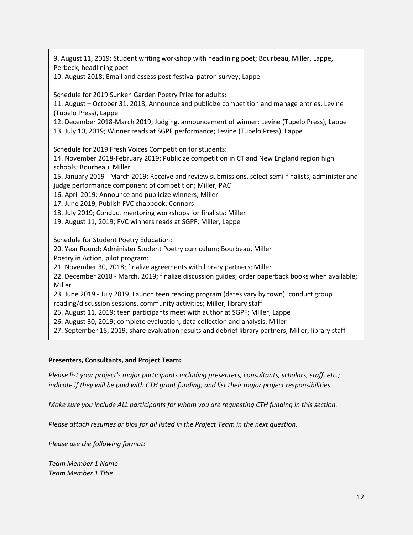9. August 11, 2019; Student writing workshop with headlining poet; Bourbeau, Miller, Lappe, Perbeck, headlining poet

10. August 2018; Email and assess post-festival patron survey; Lappe

Schedule for 2019 Sunken Garden Poetry Prize for adults:

11. August – October 31, 2018; Announce and publicize competition and manage entries; Levine (Tupelo Press), Lappe

12. December 2018-March 2019; Judging, announcement of winner; Levine (Tupelo Press), Lappe 13. July 10, 2019; Winner reads at SGPF performance; Levine (Tupelo Press), Lappe

Schedule for 2019 Fresh Voices Competition for students:

14. November 2018-February 2019; Publicize competition in CT and New England region high schools; Bourbeau, Miller

15. January 2019 - March 2019; Receive and review submissions, select semi-finalists, administer and judge performance component of competition; Miller, PAC

16. April 2019; Announce and publicize winners; Miller

17. June 2019; Publish FVC chapbook; Connors

18. July 2019; Conduct mentoring workshops for finalists; Miller

19. August 11, 2019; FVC winners reads at SGPF; Miller, Lappe

Schedule for Student Poetry Education:

20. Year Round; Administer Student Poetry curriculum; Bourbeau, Miller

Poetry in Action, pilot program:

21. November 30, 2018; finalize agreements with library partners; Miller

22. December 2018 - March, 2019; finalize discussion guides; order paperback books when available; Miller

23. June 2019 - July 2019; Launch teen reading program (dates vary by town), conduct group reading/discussion sessions, community activities; Miller, library staff

25. August 11, 2019; teen participants meet with author at SGPF; Miller, Lappe

26. August 30, 2019; complete evaluation, data collection and analysis; Miller

27. September 15, 2019; share evaluation results and debrief library partners; Miller, library staff

#### **Presenters, Consultants, and Project Team:**

*Please list your project's major participants including presenters, consultants, scholars, staff, etc.; indicate if they will be paid with CTH grant funding; and list their major project responsibilities.*

*Make sure you include ALL participants for whom you are requesting CTH funding in this section.*

*Please attach resumes or bios for all listed in the Project Team in the next question.*

*Please use the following format:*

*Team Member 1 Name Team Member 1 Title*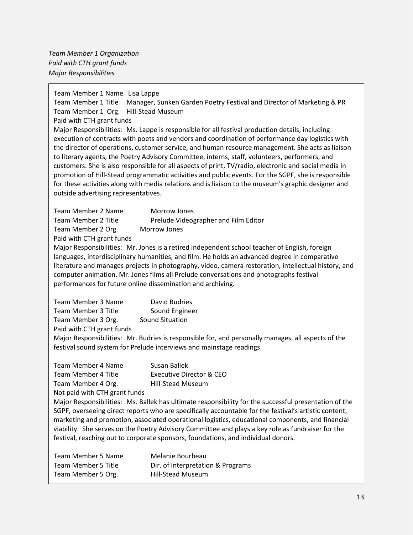*Team Member 1 Organization Paid with CTH grant funds Major Responsibilities*

Team Member 1 Name Lisa Lappe

Team Member 1 Title Manager, Sunken Garden Poetry Festival and Director of Marketing & PR Team Member 1 Org. Hill-Stead Museum

Paid with CTH grant funds

Major Responsibilities: Ms. Lappe is responsible for all festival production details, including execution of contracts with poets and vendors and coordination of performance day logistics with the director of operations, customer service, and human resource management. She acts as liaison to literary agents, the Poetry Advisory Committee, interns, staff, volunteers, performers, and customers. She is also responsible for all aspects of print, TV/radio, electronic and social media in promotion of Hill-Stead programmatic activities and public events. For the SGPF, she is responsible for these activities along with media relations and is liaison to the museum's graphic designer and outside advertising representatives.

Team Member 2 Name Morrow Jones Team Member 2 Title Prelude Videographer and Film Editor Team Member 2 Org. Morrow Jones Paid with CTH grant funds

Major Responsibilities: Mr. Jones is a retired independent school teacher of English, foreign

languages, interdisciplinary humanities, and film. He holds an advanced degree in comparative literature and manages projects in photography, video, camera restoration, intellectual history, and computer animation. Mr. Jones films all Prelude conversations and photographs festival performances for future online dissemination and archiving.

| Team Member 3 Name         | David Budries   |
|----------------------------|-----------------|
| <b>Team Member 3 Title</b> | Sound Engineer  |
| Team Member 3 Org.         | Sound Situation |
| Paid with CTH grant funds  |                 |

Major Responsibilities: Mr. Budries is responsible for, and personally manages, all aspects of the festival sound system for Prelude interviews and mainstage readings.

| Team Member 4 Name            | Susan Ballek             |
|-------------------------------|--------------------------|
| Team Member 4 Title           | Executive Director & CEO |
| Team Member 4 Org.            | <b>Hill-Stead Museum</b> |
| Not paid with CTH grant funds |                          |

Major Responsibilities: Ms. Ballek has ultimate responsibility for the successful presentation of the SGPF, overseeing direct reports who are specifically accountable for the festival's artistic content, marketing and promotion, associated operational logistics, educational components, and financial viability. She serves on the Poetry Advisory Committee and plays a key role as fundraiser for the festival, reaching out to corporate sponsors, foundations, and individual donors.

| Team Member 5 Name  | Melanie Bourbeau                  |
|---------------------|-----------------------------------|
| Team Member 5 Title | Dir. of Interpretation & Programs |
| Team Member 5 Org.  | <b>Hill-Stead Museum</b>          |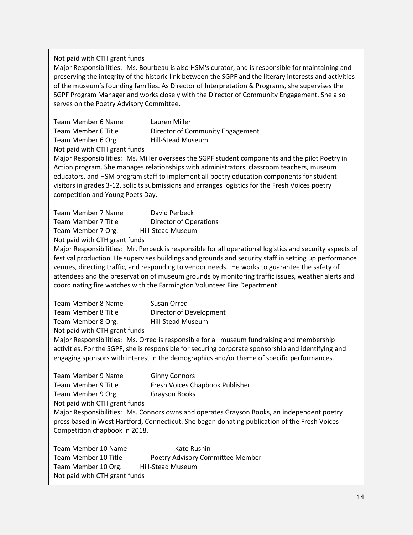### Not paid with CTH grant funds

Major Responsibilities: Ms. Bourbeau is also HSM's curator, and is responsible for maintaining and preserving the integrity of the historic link between the SGPF and the literary interests and activities of the museum's founding families. As Director of Interpretation & Programs, she supervises the SGPF Program Manager and works closely with the Director of Community Engagement. She also serves on the Poetry Advisory Committee.

| Team Member 6 Name            | Lauren Miller                    |
|-------------------------------|----------------------------------|
| Team Member 6 Title           | Director of Community Engagement |
| Team Member 6 Org.            | <b>Hill-Stead Museum</b>         |
| Not paid with CTH grant funds |                                  |

Major Responsibilities: Ms. Miller oversees the SGPF student components and the pilot Poetry in Action program. She manages relationships with administrators, classroom teachers, museum educators, and HSM program staff to implement all poetry education components for student visitors in grades 3-12, solicits submissions and arranges logistics for the Fresh Voices poetry competition and Young Poets Day.

| Team Member 7 Name            | David Perbeck                 |  |  |
|-------------------------------|-------------------------------|--|--|
| Team Member 7 Title           | <b>Director of Operations</b> |  |  |
| Team Member 7 Org.            | <b>Hill-Stead Museum</b>      |  |  |
| Not paid with CTH grant funds |                               |  |  |

Major Responsibilities: Mr. Perbeck is responsible for all operational logistics and security aspects of festival production. He supervises buildings and grounds and security staff in setting up performance venues, directing traffic, and responding to vendor needs. He works to guarantee the safety of attendees and the preservation of museum grounds by monitoring traffic issues, weather alerts and coordinating fire watches with the Farmington Volunteer Fire Department.

| Team Member 8 Name            | Susan Orred              |
|-------------------------------|--------------------------|
| Team Member 8 Title           | Director of Development  |
| Team Member 8 Org.            | <b>Hill-Stead Museum</b> |
| Not paid with CTH grant funds |                          |

Major Responsibilities: Ms. Orred is responsible for all museum fundraising and membership activities. For the SGPF, she is responsible for securing corporate sponsorship and identifying and engaging sponsors with interest in the demographics and/or theme of specific performances.

Team Member 9 Name Ginny Connors Team Member 9 Title Fresh Voices Chapbook Publisher Team Member 9 Org. Grayson Books Not paid with CTH grant funds Major Responsibilities: Ms. Connors owns and operates Grayson Books, an independent poetry press based in West Hartford, Connecticut. She began donating publication of the Fresh Voices Competition chapbook in 2018.

Team Member 10 Name Kate Rushin Team Member 10 Title Poetry Advisory Committee Member Team Member 10 Org. Hill-Stead Museum Not paid with CTH grant funds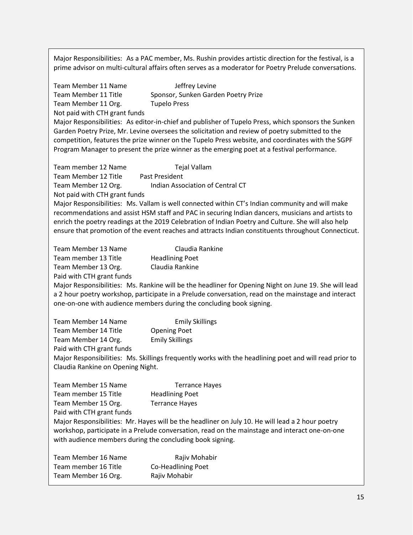Major Responsibilities: As a PAC member, Ms. Rushin provides artistic direction for the festival, is a prime advisor on multi-cultural affairs often serves as a moderator for Poetry Prelude conversations.

Team Member 11 Name **Jeffrey Levine** Team Member 11 Title Sponsor, Sunken Garden Poetry Prize Team Member 11 Org. Tupelo Press Not paid with CTH grant funds Major Responsibilities: As editor-in-chief and publisher of Tupelo Press, which sponsors the Sunken Garden Poetry Prize, Mr. Levine oversees the solicitation and review of poetry submitted to the competition, features the prize winner on the Tupelo Press website, and coordinates with the SGPF Program Manager to present the prize winner as the emerging poet at a festival performance. Team member 12 Name Tejal Vallam Team Member 12 Title Past President Team Member 12 Org. Indian Association of Central CT Not paid with CTH grant funds Major Responsibilities: Ms. Vallam is well connected within CT's Indian community and will make recommendations and assist HSM staff and PAC in securing Indian dancers, musicians and artists to enrich the poetry readings at the 2019 Celebration of Indian Poetry and Culture. She will also help ensure that promotion of the event reaches and attracts Indian constituents throughout Connecticut. Team Member 13 Name Claudia Rankine Team member 13 Title Headlining Poet Team Member 13 Org. Claudia Rankine Paid with CTH grant funds Major Responsibilities: Ms. Rankine will be the headliner for Opening Night on June 19. She will lead a 2 hour poetry workshop, participate in a Prelude conversation, read on the mainstage and interact one-on-one with audience members during the concluding book signing. Team Member 14 Name Emily Skillings Team Member 14 Title Opening Poet Team Member 14 Org. Emily Skillings Paid with CTH grant funds Major Responsibilities: Ms. Skillings frequently works with the headlining poet and will read prior to Claudia Rankine on Opening Night. Team Member 15 Name Terrance Hayes Team member 15 Title Headlining Poet Team Member 15 Org. Terrance Hayes Paid with CTH grant funds Major Responsibilities: Mr. Hayes will be the headliner on July 10. He will lead a 2 hour poetry workshop, participate in a Prelude conversation, read on the mainstage and interact one-on-one with audience members during the concluding book signing. Team Member 16 Name Rajiv Mohabir Team member 16 Title Co-Headlining Poet Team Member 16 Org. Rajiv Mohabir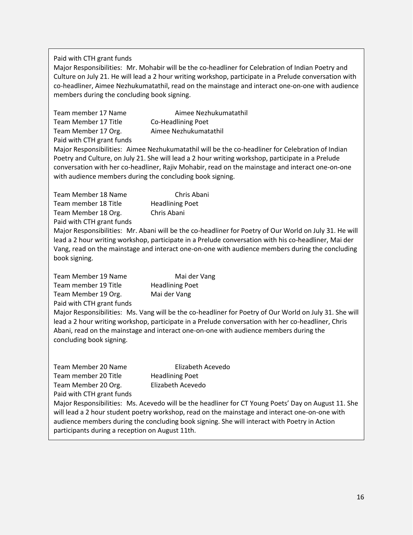Paid with CTH grant funds

Major Responsibilities: Mr. Mohabir will be the co-headliner for Celebration of Indian Poetry and Culture on July 21. He will lead a 2 hour writing workshop, participate in a Prelude conversation with co-headliner, Aimee Nezhukumatathil, read on the mainstage and interact one-on-one with audience members during the concluding book signing.

| Team member 17 Name       | Aimee Nezhukumatathil |
|---------------------------|-----------------------|
| Team Member 17 Title      | Co-Headlining Poet    |
| Team Member 17 Org.       | Aimee Nezhukumatathil |
| Paid with CTH grant funds |                       |

Major Responsibilities: Aimee Nezhukumatathil will be the co-headliner for Celebration of Indian Poetry and Culture, on July 21. She will lead a 2 hour writing workshop, participate in a Prelude conversation with her co-headliner, Rajiv Mohabir, read on the mainstage and interact one-on-one with audience members during the concluding book signing.

| Team Member 18 Name  | Chris Abani            |
|----------------------|------------------------|
| Team member 18 Title | <b>Headlining Poet</b> |
| Team Member 18 Org.  | Chris Abani            |
|                      |                        |

Paid with CTH grant funds

Major Responsibilities: Mr. Abani will be the co-headliner for Poetry of Our World on July 31. He will lead a 2 hour writing workshop, participate in a Prelude conversation with his co-headliner, Mai der Vang, read on the mainstage and interact one-on-one with audience members during the concluding book signing.

Team Member 19 Name Mai der Vang Team member 19 Title Headlining Poet Team Member 19 Org. Mai der Vang Paid with CTH grant funds

Major Responsibilities: Ms. Vang will be the co-headliner for Poetry of Our World on July 31. She will lead a 2 hour writing workshop, participate in a Prelude conversation with her co-headliner, Chris Abani, read on the mainstage and interact one-on-one with audience members during the concluding book signing.

| Team Member 20 Name       | Elizabeth Acevedo      |
|---------------------------|------------------------|
| Team member 20 Title      | <b>Headlining Poet</b> |
| Team Member 20 Org.       | Elizabeth Acevedo      |
| Paid with CTH grant funds |                        |

Major Responsibilities: Ms. Acevedo will be the headliner for CT Young Poets' Day on August 11. She will lead a 2 hour student poetry workshop, read on the mainstage and interact one-on-one with audience members during the concluding book signing. She will interact with Poetry in Action participants during a reception on August 11th.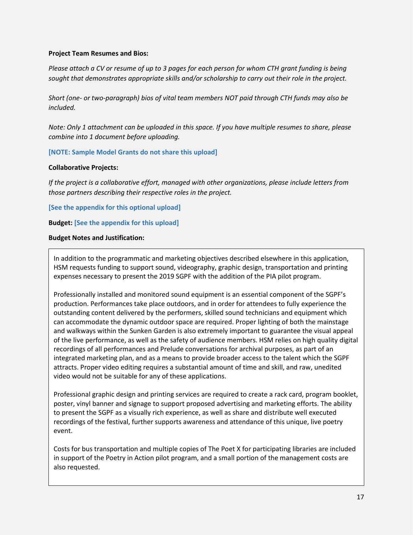### **Project Team Resumes and Bios:**

*Please attach a CV or resume of up to 3 pages for each person for whom CTH grant funding is being sought that demonstrates appropriate skills and/or scholarship to carry out their role in the project.*

*Short (one- or two-paragraph) bios of vital team members NOT paid through CTH funds may also be included.*

*Note: Only 1 attachment can be uploaded in this space. If you have multiple resumes to share, please combine into 1 document before uploading.*

### **[NOTE: Sample Model Grants do not share this upload]**

#### **Collaborative Projects:**

*If the project is a collaborative effort, managed with other organizations, please include letters from those partners describing their respective roles in the project.*

**[See the appendix for this optional upload]**

**Budget: [See the appendix for this upload]**

#### **Budget Notes and Justification:**

In addition to the programmatic and marketing objectives described elsewhere in this application, HSM requests funding to support sound, videography, graphic design, transportation and printing expenses necessary to present the 2019 SGPF with the addition of the PIA pilot program.

Professionally installed and monitored sound equipment is an essential component of the SGPF's production. Performances take place outdoors, and in order for attendees to fully experience the outstanding content delivered by the performers, skilled sound technicians and equipment which can accommodate the dynamic outdoor space are required. Proper lighting of both the mainstage and walkways within the Sunken Garden is also extremely important to guarantee the visual appeal of the live performance, as well as the safety of audience members. HSM relies on high quality digital recordings of all performances and Prelude conversations for archival purposes, as part of an integrated marketing plan, and as a means to provide broader access to the talent which the SGPF attracts. Proper video editing requires a substantial amount of time and skill, and raw, unedited video would not be suitable for any of these applications.

Professional graphic design and printing services are required to create a rack card, program booklet, poster, vinyl banner and signage to support proposed advertising and marketing efforts. The ability to present the SGPF as a visually rich experience, as well as share and distribute well executed recordings of the festival, further supports awareness and attendance of this unique, live poetry event.

Costs for bus transportation and multiple copies of The Poet X for participating libraries are included in support of the Poetry in Action pilot program, and a small portion of the management costs are also requested.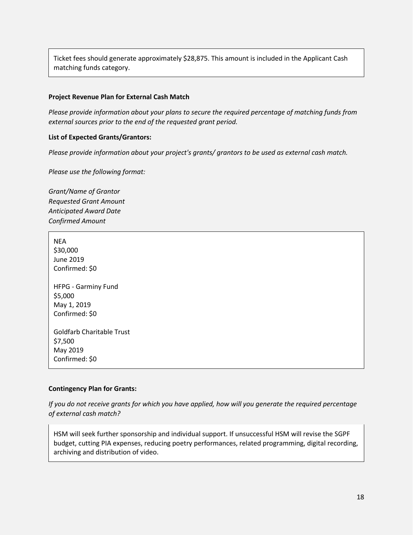Ticket fees should generate approximately \$28,875. This amount is included in the Applicant Cash matching funds category.

### **Project Revenue Plan for External Cash Match**

*Please provide information about your plans to secure the required percentage of matching funds from external sources prior to the end of the requested grant period.*

### **List of Expected Grants/Grantors:**

*Please provide information about your project's grants/ grantors to be used as external cash match.*

*Please use the following format:*

*Grant/Name of Grantor Requested Grant Amount Anticipated Award Date Confirmed Amount*

**NEA** \$30,000 June 2019 Confirmed: \$0 HFPG - Garminy Fund \$5,000 May 1, 2019 Confirmed: \$0 Goldfarb Charitable Trust \$7,500 May 2019 Confirmed: \$0

#### **Contingency Plan for Grants:**

*If you do not receive grants for which you have applied, how will you generate the required percentage of external cash match?*

HSM will seek further sponsorship and individual support. If unsuccessful HSM will revise the SGPF budget, cutting PIA expenses, reducing poetry performances, related programming, digital recording, archiving and distribution of video.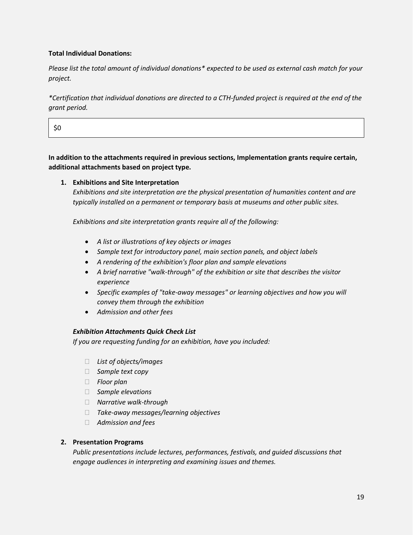### **Total Individual Donations:**

*Please list the total amount of individual donations\* expected to be used as external cash match for your project.*

*\*Certification that individual donations are directed to a CTH-funded project is required at the end of the grant period.*

\$0

**In addition to the attachments required in previous sections, Implementation grants require certain, additional attachments based on project type.**

### **1. Exhibitions and Site Interpretation**

*Exhibitions and site interpretation are the physical presentation of humanities content and are typically installed on a permanent or temporary basis at museums and other public sites.*

*Exhibitions and site interpretation grants require all of the following:*

- *A list or illustrations of key objects or images*
- *Sample text for introductory panel, main section panels, and object labels*
- *A rendering of the exhibition's floor plan and sample elevations*
- *A brief narrative "walk-through" of the exhibition or site that describes the visitor experience*
- *Specific examples of "take-away messages" or learning objectives and how you will convey them through the exhibition*
- *Admission and other fees*

### *Exhibition Attachments Quick Check List*

*If you are requesting funding for an exhibition, have you included:*

- *List of objects/images*
- *Sample text copy*
- *Floor plan*
- *Sample elevations*
- *Narrative walk-through*
- *Take-away messages/learning objectives*
- *Admission and fees*

### **2. Presentation Programs**

*Public presentations include lectures, performances, festivals, and guided discussions that engage audiences in interpreting and examining issues and themes.*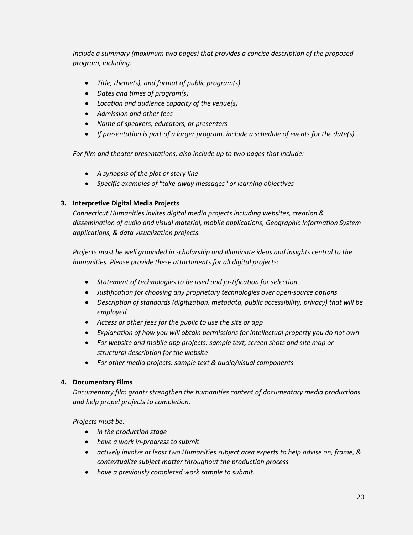*Include a summary (maximum two pages) that provides a concise description of the proposed program, including:*

- *Title, theme(s), and format of public program(s)*
- *Dates and times of program(s)*
- *Location and audience capacity of the venue(s)*
- *Admission and other fees*
- *Name of speakers, educators, or presenters*
- *If presentation is part of a larger program, include a schedule of events for the date(s)*

*For film and theater presentations, also include up to two pages that include:*

- *A synopsis of the plot or story line*
- *Specific examples of "take-away messages" or learning objectives*

### **3. Interpretive Digital Media Projects**

*Connecticut Humanities invites digital media projects including websites, creation & dissemination of audio and visual material, mobile applications, Geographic Information System applications, & data visualization projects.*

*Projects must be well grounded in scholarship and illuminate ideas and insights central to the humanities. Please provide these attachments for all digital projects:*

- *Statement of technologies to be used and justification for selection*
- *Justification for choosing any proprietary technologies over open-source options*
- *Description of standards (digitization, metadata, public accessibility, privacy) that will be employed*
- *Access or other fees for the public to use the site or app*
- *Explanation of how you will obtain permissions for intellectual property you do not own*
- *For website and mobile app projects: sample text, screen shots and site map or structural description for the website*
- *For other media projects: sample text & audio/visual components*

### **4. Documentary Films**

*Documentary film grants strengthen the humanities content of documentary media productions and help propel projects to completion.*

*Projects must be:*

- *in the production stage*
- *have a work in-progress to submit*
- *actively involve at least two Humanities subject area experts to help advise on, frame, & contextualize subject matter throughout the production process*
- *have a previously completed work sample to submit.*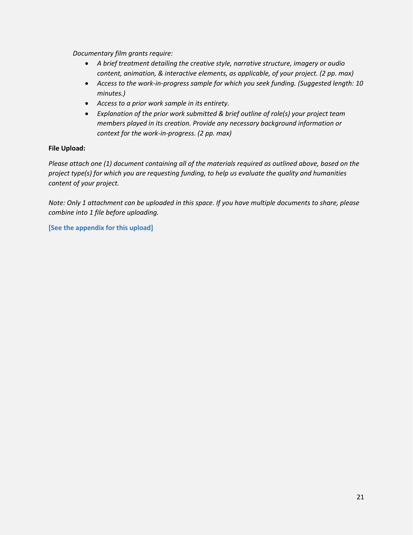*Documentary film grants require:*

- *A brief treatment detailing the creative style, narrative structure, imagery or audio content, animation, & interactive elements, as applicable, of your project. (2 pp. max)*
- *Access to the work-in-progress sample for which you seek funding. (Suggested length: 10 minutes.)*
- *Access to a prior work sample in its entirety.*
- *Explanation of the prior work submitted & brief outline of role(s) your project team members played in its creation. Provide any necessary background information or context for the work-in-progress. (2 pp. max)*

### **File Upload:**

*Please attach one (1) document containing all of the materials required as outlined above, based on the project type(s) for which you are requesting funding, to help us evaluate the quality and humanities content of your project.*

*Note: Only 1 attachment can be uploaded in this space. If you have multiple documents to share, please combine into 1 file before uploading.*

**[See the appendix for this upload]**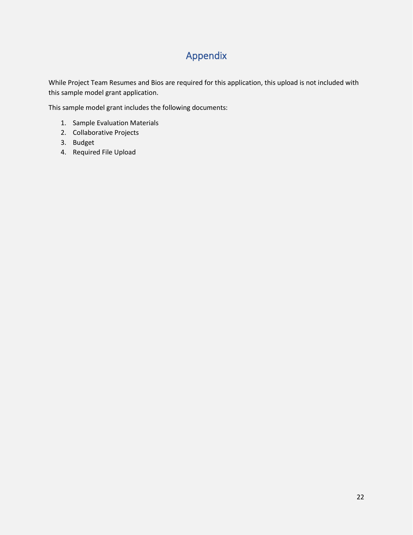# Appendix

While Project Team Resumes and Bios are required for this application, this upload is not included with this sample model grant application.

This sample model grant includes the following documents:

- 1. Sample Evaluation Materials
- 2. Collaborative Projects
- 3. Budget
- 4. Required File Upload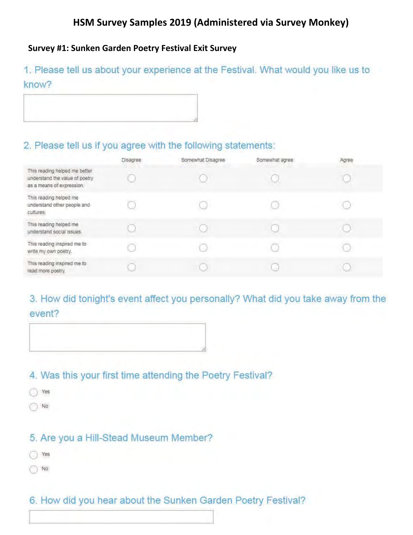# HSM Survey Samples 2019 (Administered via Survey Monkey)

### Survey #1: Sunken Garden Poetry Festival Exit Survey

1. Please tell us about your experience at the Festival. What would you like us to know?

### 2. Please tell us if you agree with the following statements:

|                                                                                              | Disagree | Somewhat Disagree | Somewhat agree | Agree |
|----------------------------------------------------------------------------------------------|----------|-------------------|----------------|-------|
| This reading helped me better<br>understand the value of poetry<br>as a means of expression. |          |                   |                |       |
| This reading helped me<br>understand other people and<br>cultures.                           |          |                   |                |       |
| This reading helped me<br>understand social issues.                                          |          |                   |                |       |
| This reading inspired me to<br>write my own poetry.                                          |          |                   |                |       |
| This reading inspired me to<br>read more poetry.                                             |          |                   |                |       |

# 3. How did tonight's event affect you personally? What did you take away from the event?



### 4. Was this your first time attending the Poetry Festival?

- O Yes
- $\bigcirc$  No

### 5. Are you a Hill-Stead Museum Member?

- C Yes
- $\bigcirc$  No

### 6. How did you hear about the Sunken Garden Poetry Festival?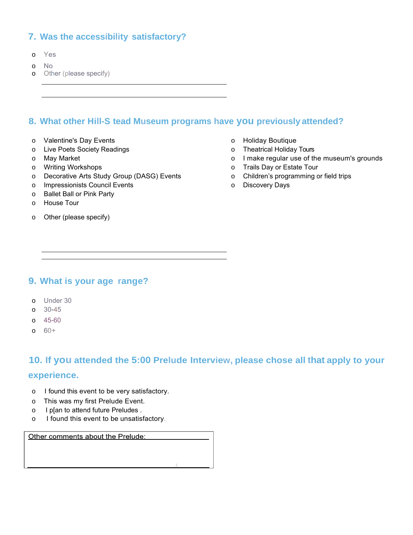### **7. Was the accessibility satisfactory?**

- o Yes
- o No
- o Other (please specify)

### **8. What other Hill-S tead Museum programs have you previously attended?**

- o Valentine's Day Events
- o Live Poets Society Readings
- o May Market
- o Writing Workshops
- o Decorative Arts Study Group (DASG) Events
- o Impressionists Council Events
- o Ballet Ball or Pink Party
- o House Tour
- o Other (please specify)
- o Holiday Boutique
- o Theatrical Holiday Tours
- o I make regular use of the museum's grounds
- o Trails Day or Estate Tour
- o Children's programming or field trips
- o Discovery Days

### **9. What is your age range?**

- o Under 30
- o 30-45
- o 45-60
- o 60+

### **10. If you attended the 5:00 Prelude Interview, please chose all that apply to your**

### **experience.**

- o I found this event to be very satisfactory.
- o This was my first Prelude Event.
- o I p[an to attend future Preludes .
- o I found this event to be unsatisfactory.

Other comments about the Prelude: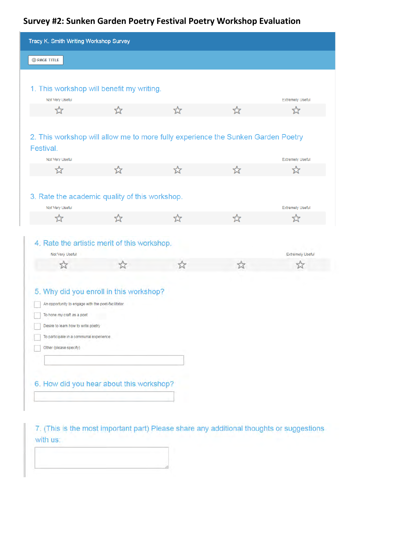# **Survey #2: Sunken Garden Poetry Festival Poetry Workshop Evaluation**

| Tracy K. Smith Writing Workshop Survey                                                                                                                                                                                                                                              |   |    |    |                         |
|-------------------------------------------------------------------------------------------------------------------------------------------------------------------------------------------------------------------------------------------------------------------------------------|---|----|----|-------------------------|
| <b>E</b> PAGE TITLE                                                                                                                                                                                                                                                                 |   |    |    |                         |
|                                                                                                                                                                                                                                                                                     |   |    |    |                         |
| 1. This workshop will benefit my writing.                                                                                                                                                                                                                                           |   |    |    |                         |
| Not Very Useful                                                                                                                                                                                                                                                                     |   |    |    | <b>Extremely Useful</b> |
| ☆                                                                                                                                                                                                                                                                                   | ☆ | ☆  | ☆  | ☆                       |
| 2. This workshop will allow me to more fully experience the Sunken Garden Poetry<br>Festival.                                                                                                                                                                                       |   |    |    |                         |
| Not Very Useful                                                                                                                                                                                                                                                                     |   |    |    | <b>Extremely Useful</b> |
| ☆                                                                                                                                                                                                                                                                                   | ☆ | ☆  | ☆  | ☆                       |
|                                                                                                                                                                                                                                                                                     |   |    |    |                         |
| 3. Rate the academic quality of this workshop.                                                                                                                                                                                                                                      |   |    |    |                         |
| Not Very Useful                                                                                                                                                                                                                                                                     |   |    |    | <b>Extremely Useful</b> |
| ☆                                                                                                                                                                                                                                                                                   | ☆ | ☆  | ☆  | ☆                       |
| 4. Rate the artistic merit of this workshop.<br>Not Very Useful                                                                                                                                                                                                                     |   |    |    | <b>Extremely Useful</b> |
| $\vec{\boldsymbol{\Sigma}}$                                                                                                                                                                                                                                                         |   | 23 | 53 |                         |
| 5. Why did you enroll in this workshop?<br>An opportunity to engage with the poet-facilitator<br>To hone my craft as a poet<br>Desire to learn how to write poetry<br>To participate in a communal experience<br>Other (please specify)<br>6. How did you hear about this workshop? |   |    |    |                         |

7. (This is the most important part) Please share any additional thoughts or suggestions with us: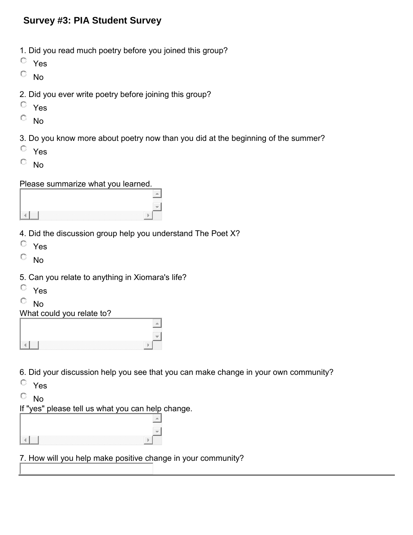### **Survey #3: PIA Student Survey**

- 1. Did you read much poetry before you joined this group?
- Yes
- $\overline{\mathbb{C}}$  No
- 2. Did you ever write poetry before joining this group?
- Yes
- $\overline{\mathbb{O}}$  No
- 3. Do you know more about poetry now than you did at the beginning of the summer?
- Yes
- $\overline{\phantom{a}}$  No

Please summarize what you learned.

- 4. Did the discussion group help you understand The Poet X?
- Yes
- $\overline{\mathbb{C}}$  No
- 5. Can you relate to anything in Xiomara's life?
- Yes
- $\overline{\circ}$  No

What could you relate to?

6. Did your discussion help you see that you can make change in your own community?

- Yes
- $\overline{\circ}$  No

If "yes" please tell us what you can help change.

7. How will you help make positive change in your community?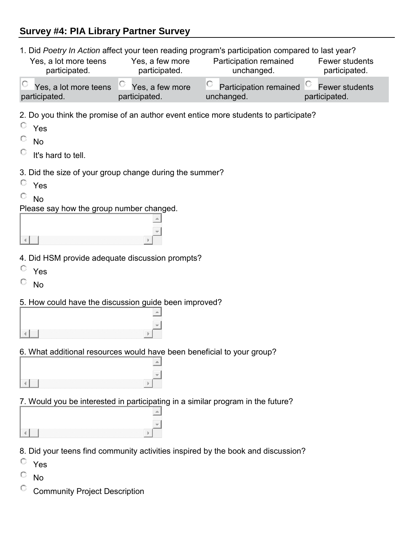## **Survey #4: PIA Library Partner Survey**

1. Did *Poetry In Action* affect your teen reading program's participation compared to last year?

| $\circ$ Yes, a lot more teens $\circ$ Yes, a few more |            |                                                                        |
|-------------------------------------------------------|------------|------------------------------------------------------------------------|
| participated.<br>participated.                        | unchanged. | $\vert$ Participation remained $\vert$ Fewer students<br>participated. |

2. Do you think the promise of an author event entice more students to participate?

| c<br>u.<br>э. |
|---------------|
|               |

- $\mathbf C$ No
- O It's hard to tell.
- 3. Did the size of your group change during the summer?
- Yes
- О. No

Please say how the group number changed.

- 4. Did HSM provide adequate discussion prompts?
- Yes
- $\overline{\mathbb{O}}$  No
- 5. How could have the discussion guide been improved?

| _______________ |  |
|-----------------|--|

### 6. What additional resources would have been beneficial to your group?

7. Would you be interested in participating in a similar program in the future?

| .<br>___ |  |
|----------|--|
|          |  |
|          |  |

8. Did your teens find community activities inspired by the book and discussion?

- Yes
- O No
- $\bigcirc$ Community Project Description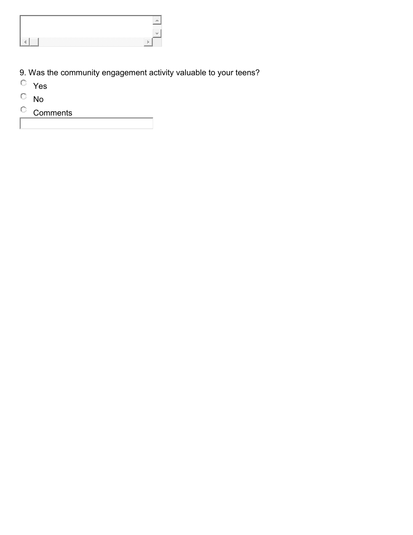- 9. Was the community engagement activity valuable to your teens?
- Yes
- $\overline{\phantom{a}}$  No
- Comments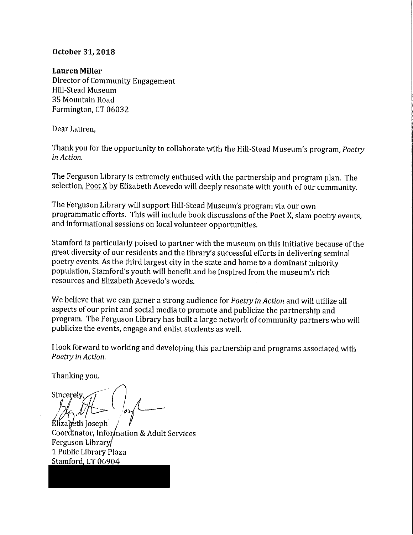### October 31, 2018

### **Lauren Miller**

Director of Community Engagement Hill-Stead Museum 35 Mountain Road Farmington, CT 06032

Dear Lauren,

Thank you for the opportunity to collaborate with the Hill-Stead Museum's program, Poetry in Action.

The Ferguson Library is extremely enthused with the partnership and program plan. The selection, Poet X by Elizabeth Acevedo will deeply resonate with youth of our community.

The Ferguson Library will support Hill-Stead Museum's program via our own programmatic efforts. This will include book discussions of the Poet X, slam poetry events, and informational sessions on local volunteer opportunities.

Stamford is particularly poised to partner with the museum on this initiative because of the great diversity of our residents and the library's successful efforts in delivering seminal poetry events. As the third largest city in the state and home to a dominant minority population, Stamford's youth will benefit and be inspired from the museum's rich resources and Elizabeth Acevedo's words.

We believe that we can garner a strong audience for *Poetry in Action* and will utilize all aspects of our print and social media to promote and publicize the partnership and program. The Ferguson Library has built a large network of community partners who will publicize the events, engage and enlist students as well.

I look forward to working and developing this partnership and programs associated with Poetry in Action.

Thanking you.

Sincerely.

Élizabeth Joseph Coordinator, Information & Adult Services Ferguson Library 1 Public Library Plaza Stamford, CT 06904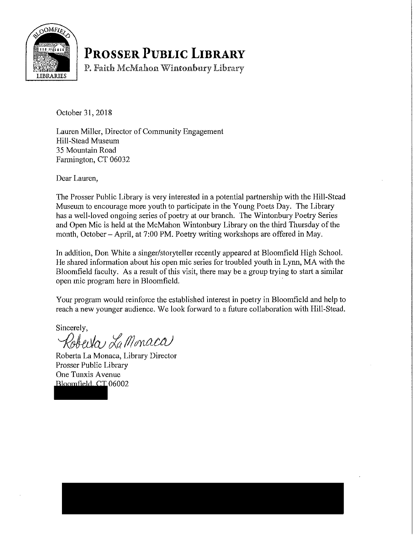

# **PROSSER PUBLIC LIBRARY**

P. Faith McMahon Wintonbury Library

October 31, 2018

Lauren Miller, Director of Community Engagement Hill-Stead Museum 35 Mountain Road Farmington, CT 06032

Dear Lauren,

The Prosser Public Library is very interested in a potential partnership with the Hill-Stead Museum to encourage more youth to participate in the Young Poets Day. The Library has a well-loved ongoing series of poetry at our branch. The Wintonbury Poetry Series and Open Mic is held at the McMahon Wintonbury Library on the third Thursday of the month, October - April, at 7:00 PM. Poetry writing workshops are offered in May.

In addition, Don White a singer/storyteller recently appeared at Bloomfield High School. He shared information about his open mic series for troubled youth in Lynn, MA with the Bloomfield faculty. As a result of this visit, there may be a group trying to start a similar open mic program here in Bloomfield.

Your program would reinforce the established interest in poetry in Bloomfield and help to reach a new younger audience. We look forward to a future collaboration with Hill-Stead.

Sincerely,

Roberta La Monaca

Roberta La Monaca, Library Director Prosser Public Library One Tunxis Avenue Bloomfield, CT 06002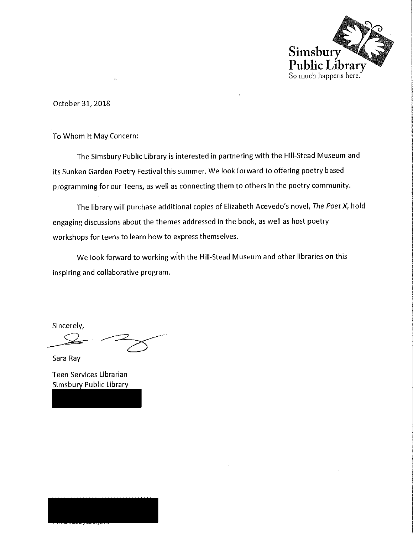

October 31, 2018

To Whom It May Concern:

 $\dot{\phi}$ 

The Simsbury Public Library is interested in partnering with the Hill-Stead Museum and its Sunken Garden Poetry Festival this summer. We look forward to offering poetry based programming for our Teens, as well as connecting them to others in the poetry community.

The library will purchase additional copies of Elizabeth Acevedo's novel, The Poet X, hold engaging discussions about the themes addressed in the book, as well as host poetry workshops for teens to learn how to express themselves.

We look forward to working with the Hill-Stead Museum and other libraries on this inspiring and collaborative program.

Sincerely,

Sara Ray

Teen Services Librarian **Simsbury Public Library**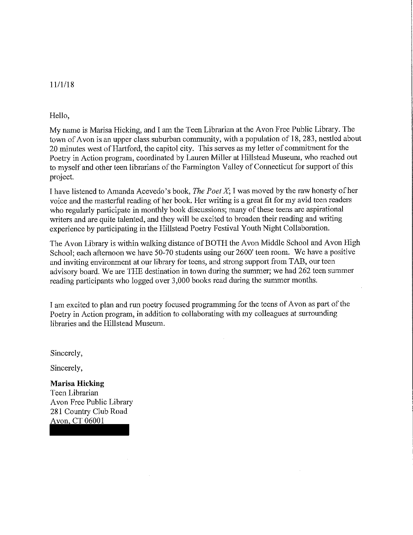### 11/1/18

### Hello,

My name is Marisa Hicking, and I am the Teen Librarian at the Avon Free Public Library. The town of Avon is an upper class suburban community, with a population of 18, 283, nestled about 20 minutes west of Hartford, the capitol city. This serves as my letter of commitment for the Poetry in Action program, coordinated by Lauren Miller at Hillstead Museum, who reached out to myself and other teen librarians of the Farmington Valley of Connecticut for support of this project.

I have listened to Amanda Acevedo's book, *The Poet X*; I was moved by the raw honesty of her voice and the masterful reading of her book. Her writing is a great fit for my avid teen readers who regularly participate in monthly book discussions; many of these teens are aspirational writers and are quite talented, and they will be excited to broaden their reading and writing experience by participating in the Hillstead Poetry Festival Youth Night Collaboration.

The Avon Library is within walking distance of BOTH the Avon Middle School and Avon High School; each afternoon we have 50-70 students using our 2600' teen room. We have a positive and inviting environment at our library for teens, and strong support from TAB, our teen advisory board. We are THE destination in town during the summer; we had 262 teen summer reading participants who logged over 3,000 books read during the summer months.

I am excited to plan and run poetry focused programming for the teens of Avon as part of the Poetry in Action program, in addition to collaborating with my colleagues at surrounding libraries and the Hillstead Museum.

Sincerely,

Sincerely,

### **Marisa Hicking**

Teen Librarian Avon Free Public Library 281 Country Club Road Avon, CT 06001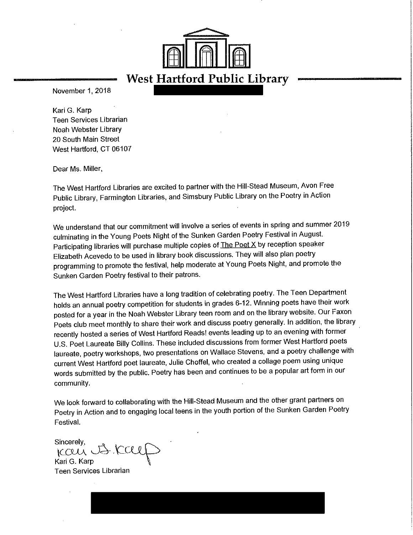

November 1, 2018

Kari G. Karp **Teen Services Librarian** Noah Webster Library 20 South Main Street West Hartford, CT 06107

Dear Ms. Miller,

The West Hartford Libraries are excited to partner with the Hill-Stead Museum, Avon Free Public Library, Farmington Libraries, and Simsbury Public Library on the Poetry in Action project.

We understand that our commitment will involve a series of events in spring and summer 2019 culminating in the Young Poets Night of the Sunken Garden Poetry Festival in August. Participating libraries will purchase multiple copies of **The Poet X** by reception speaker Elizabeth Acevedo to be used in library book discussions. They will also plan poetry programming to promote the festival, help moderate at Young Poets Night, and promote the Sunken Garden Poetry festival to their patrons.

The West Hartford Libraries have a long tradition of celebrating poetry. The Teen Department holds an annual poetry competition for students in grades 6-12. Winning poets have their work posted for a year in the Noah Webster Library teen room and on the library website. Our Faxon Poets club meet monthly to share their work and discuss poetry generally. In addition, the library recently hosted a series of West Hartford Reads! events leading up to an evening with former U.S. Poet Laureate Billy Collins. These included discussions from former West Hartford poets laureate, poetry workshops, two presentations on Wallace Stevens, and a poetry challenge with current West Hartford poet laureate, Julie Choffel, who created a collage poem using unique words submitted by the public. Poetry has been and continues to be a popular art form in our community.

We look forward to collaborating with the Hill-Stead Museum and the other grant partners on Poetry in Action and to engaging local teens in the youth portion of the Sunken Garden Poetry Festival.

Sincerely. Ican JJ.Ca

Kari G. Karp Teen Services Librarian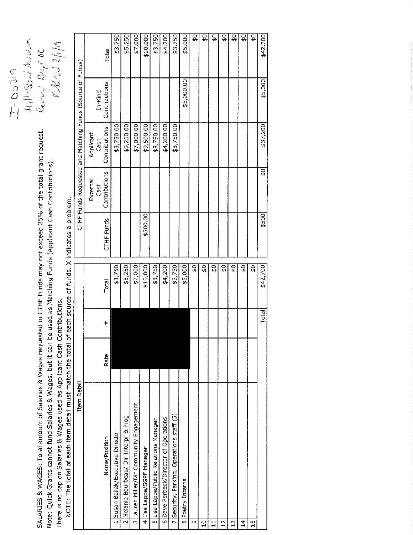| SALARIES & WAGES: Total amount of Salaries & Wages requested in CTHF Funds may not exceed 25% of the total grant request.<br>Note: Quick Grants cannot fund Salaries & Wages, but it can be used as Matching Funds (Applicant Cash Contributions).<br>There is no cap on Salaries & Wages used as Applicant Cash Contributions.<br>NOTE: The total of each item detail must match the total of |      |            | each source of funds. X indicates a problem. |            |                                   |                                    | $\frac{1}{2}$ $\frac{1}{2}$ $\frac{1}{2}$ $\frac{1}{2}$ $\frac{1}{2}$ $\frac{1}{2}$ $\frac{1}{2}$ $\frac{1}{2}$ $\frac{1}{2}$ $\frac{1}{2}$ $\frac{1}{2}$ $\frac{1}{2}$<br>$\frac{5}{11}$ | 44022/10            |
|------------------------------------------------------------------------------------------------------------------------------------------------------------------------------------------------------------------------------------------------------------------------------------------------------------------------------------------------------------------------------------------------|------|------------|----------------------------------------------|------------|-----------------------------------|------------------------------------|-------------------------------------------------------------------------------------------------------------------------------------------------------------------------------------------|---------------------|
| Item Detail                                                                                                                                                                                                                                                                                                                                                                                    |      |            |                                              |            |                                   |                                    | CTHF Funds Requested and Matching Funds (Source of Funds)                                                                                                                                 |                     |
| Name/Position                                                                                                                                                                                                                                                                                                                                                                                  | Rate | $\ddagger$ | Total                                        | CTHF Funds | Contributions<br>External<br>Cash | Contributions<br>Applicant<br>Cash | Contributions<br>In-Kind                                                                                                                                                                  | Total               |
| 1 Susan Ballek/Executive Director                                                                                                                                                                                                                                                                                                                                                              |      |            | \$3,750                                      |            |                                   | \$3,750.00                         |                                                                                                                                                                                           | \$3,750             |
| 2 Melanie Bourbeau/ Dir Interpr & Prog                                                                                                                                                                                                                                                                                                                                                         |      |            | \$5,250                                      |            |                                   | \$5,250.00                         |                                                                                                                                                                                           | \$5,250             |
| 3 Lauren Miller/Dir Community Engagement                                                                                                                                                                                                                                                                                                                                                       |      |            | \$7,000                                      |            |                                   | \$7,000.00                         |                                                                                                                                                                                           | \$7,000             |
| 4 Lisa Lappe/SGPF Manager                                                                                                                                                                                                                                                                                                                                                                      |      |            | \$10,000                                     | \$500.00   |                                   | \$9,500.00                         |                                                                                                                                                                                           | \$10,000            |
| 5 Lisa Lappe/Public Relations Manager                                                                                                                                                                                                                                                                                                                                                          |      |            | \$3,750                                      |            |                                   | \$3,750.00                         |                                                                                                                                                                                           | \$3,750             |
| Dave Perbeck/Director of Operations<br>ㅎ                                                                                                                                                                                                                                                                                                                                                       |      |            | \$4,200                                      |            |                                   | \$4,200.00                         |                                                                                                                                                                                           | \$4,200             |
| 7 Security, Parking, Operations staff (5)                                                                                                                                                                                                                                                                                                                                                      |      |            | \$3,750                                      |            |                                   | \$3,750.00                         |                                                                                                                                                                                           | \$3,750             |
| 8 Poetry Interns                                                                                                                                                                                                                                                                                                                                                                               |      |            | \$5,000                                      |            |                                   |                                    | \$5,000.00                                                                                                                                                                                | \$5,000             |
| C                                                                                                                                                                                                                                                                                                                                                                                              |      |            | ₿.                                           |            |                                   |                                    |                                                                                                                                                                                           | ट्र<br>क            |
| $\overline{a}$                                                                                                                                                                                                                                                                                                                                                                                 |      |            | S)                                           |            |                                   |                                    |                                                                                                                                                                                           | \$Q                 |
| $\sharp$                                                                                                                                                                                                                                                                                                                                                                                       |      |            | S)                                           |            |                                   |                                    |                                                                                                                                                                                           | $\frac{40}{2}$      |
| $\frac{1}{2}$                                                                                                                                                                                                                                                                                                                                                                                  |      |            | ន្ត                                          |            |                                   |                                    |                                                                                                                                                                                           | ত্র<br><del>জ</del> |
| 13                                                                                                                                                                                                                                                                                                                                                                                             |      |            | ٥f                                           |            |                                   |                                    |                                                                                                                                                                                           | $\overline{6}$      |
| $\overline{4}$                                                                                                                                                                                                                                                                                                                                                                                 |      |            | ន្ត្                                         |            |                                   |                                    |                                                                                                                                                                                           | ত্র<br><del>জ</del> |
| $\frac{15}{1}$                                                                                                                                                                                                                                                                                                                                                                                 |      |            | G\$                                          |            |                                   |                                    |                                                                                                                                                                                           | \$O                 |
|                                                                                                                                                                                                                                                                                                                                                                                                |      | Total      | \$42,700                                     | \$500      | Οę                                | \$37,200                           | \$5,000                                                                                                                                                                                   | \$42,700            |
|                                                                                                                                                                                                                                                                                                                                                                                                |      |            |                                              |            |                                   |                                    |                                                                                                                                                                                           |                     |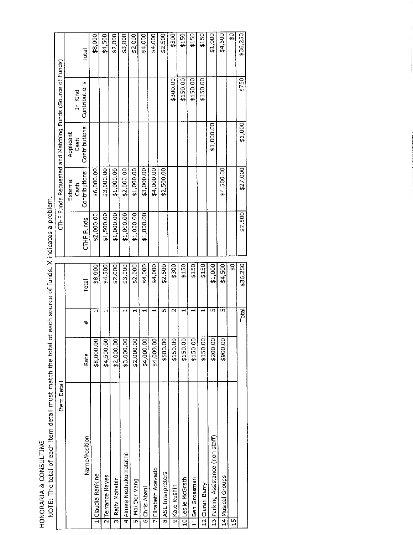HONORARIA & CONSULTING<br>NOTE: The total of each item detail must match the total of each source of funds. X indicates a problem.

| Item Detail                                              |             |        |          |            |                                   |                                    | CTHF Funds Requested and Matching Funds (Source of Funds) |          |
|----------------------------------------------------------|-------------|--------|----------|------------|-----------------------------------|------------------------------------|-----------------------------------------------------------|----------|
| Name/Position                                            | Rate        | #      | Total    | CTHF Funds | Contributions<br>External<br>Cash | Contributions<br>Applicant<br>Cash | Contributions<br>$In-Kind$                                | Total    |
|                                                          | \$8,000.00  |        | \$8,000  | \$2,000.00 | \$6,000.00                        |                                    |                                                           | \$8,000  |
| 1 Claudia Rankine                                        | \$4,500.00  |        | \$4,500  | \$1,500.00 | \$3,000.00                        |                                    |                                                           | \$4,500  |
| 2 Terrance Hayes<br>Rajiv Mohabir<br>$\overline{\Omega}$ | \$2,000.00] |        | \$2,000  | \$1,000.00 | \$1,000.00                        |                                    |                                                           | \$2,000  |
| 4 Aimee Nezhukumatathil                                  | \$3,000.00  |        | \$3,000  | \$1,000.00 | \$2,000.00                        |                                    |                                                           | \$3,000  |
| Mai Der Vang<br>5                                        | \$2,000.00] |        | \$2,000  | \$1,000.00 | \$1,000.00                        |                                    |                                                           | \$2,000  |
| Chris Abani<br>.<br>ज                                    | \$4,000.00  |        | \$4,000  | \$1,000.00 | \$3,000.00                        |                                    |                                                           | \$4,000  |
| Elizabeth Acevedo<br>$\overline{r}$                      | \$4,000.00] |        | \$4,000  |            | \$4,000.00                        |                                    |                                                           | \$4,000  |
| ASL Interpreters<br>$\vec{0}$                            | \$500.00    | Ю      | \$2,500  |            | \$2,500.00                        |                                    |                                                           | \$2,500  |
| 9 Kate Rushin                                            | \$150.00    | $\sim$ | \$300    |            |                                   |                                    | \$300.00                                                  | \$300    |
| 10 Leslie McGrath                                        | \$150.00    |        | \$150    |            |                                   |                                    | \$150.00                                                  | \$150    |
| Ben Grossman<br>$\frac{1}{11}$                           | \$150.00    |        | \$150    |            |                                   |                                    | \$150.00                                                  | \$150    |
| 12 Ciaran Berry                                          | \$150.00    |        | \$150    |            |                                   |                                    | \$150.00                                                  | \$150    |
| 13 Parking Assistance (non staff)                        | \$200.00    | LŊ,    | \$1,000  |            |                                   | \$1,000.00                         |                                                           | \$1,000  |
| Musical Groups<br>$\frac{4}{1}$                          | \$900.00    | Iņ,    | \$4,500  |            | \$4,500.00                        |                                    |                                                           | \$4,500  |
| 15                                                       |             |        | Ş,       |            |                                   |                                    |                                                           | ဒ္ဓ      |
|                                                          |             | Total  | \$36,250 | \$7,500    | \$27,000                          | \$1,000                            | \$750                                                     | \$36,250 |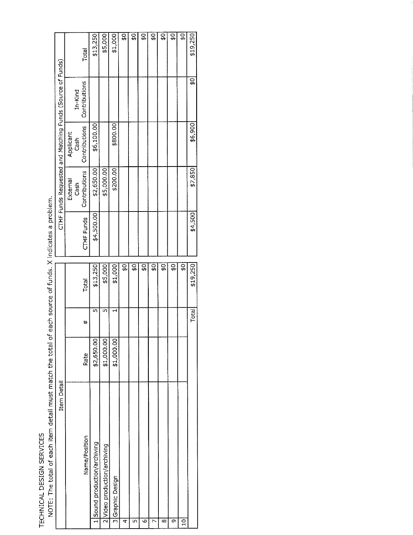TECHNICAL DESIGN SERVICES<br>NOTE: The total of each item detail must match the total of each source of funds. X indicates a problem.

| Item Detail                  |             |       |               |            | CTHF Funds Requested and Matching Funds (Source of Funds) |                   |               |                   |
|------------------------------|-------------|-------|---------------|------------|-----------------------------------------------------------|-------------------|---------------|-------------------|
|                              |             |       |               |            | External<br>Cash                                          | Applicant<br>Cash | In-Kind       |                   |
| Name/Position                | Rate        | #     | Total         | CTHF Funds | Contributions                                             | Contributions     | Contributions | Total             |
| Sound production/archiving   | \$2,650.00  | m,    | \$13,250      | \$4,500.00 | \$2,650.00                                                | \$6,100.00        |               | \$13,250          |
| 2 Video production/archiving | \$1,000.00  | m     | \$5,000       |            | \$5,000.00                                                |                   |               | \$5,000           |
| 3 Graphic Design             | \$1,000,00] |       | \$1,000       |            | \$200.00                                                  | \$800.00          |               | \$1,000           |
| 4                            |             |       | ç,            |            |                                                           |                   |               | ٥ę                |
| LŊ,                          |             |       | 9€            |            |                                                           |                   |               | 유                 |
|                              |             |       | ç,            |            |                                                           |                   |               | င္စ               |
|                              |             |       | <u>្ណុ</u>    |            |                                                           |                   |               | ္ဘ                |
| ∞                            |             |       | ဌ             |            |                                                           |                   |               | ç,                |
| ጣ                            |             |       | \$Ö           |            |                                                           |                   |               | င္ပန္             |
| Ş                            |             |       | $\frac{1}{2}$ |            |                                                           |                   |               | ូ<br><del>ហ</del> |
|                              |             | Total | \$19,250      | \$4,500    | \$7,850                                                   | \$6,900           | 50            | \$19,250          |
|                              |             |       |               |            |                                                           |                   |               |                   |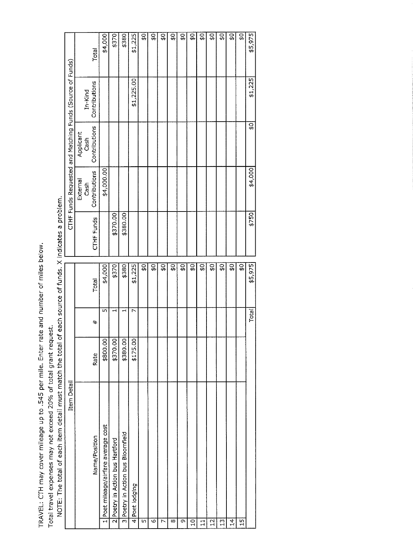TRAVEL: CTH may cover mileage up to .545 per mile. Enter rate and number of miles below.

Total travel expenses may not exceed 20% of total grant request.<br>NOTE: The total of each item detail must match the total of each source of funds. X indicates a problem.

|                                                           |             |                   | Total         | \$4,000                                                      | \$370                           | \$380                             | \$1,225        | \$O            | $\overline{S}$ | ₿              | \$Ó | <u>ទូ</u>     | \$O            | ۵ę           | $\frac{1}{2}$ | \$O            | $\overline{9}$ | \$O | \$5,975        |
|-----------------------------------------------------------|-------------|-------------------|---------------|--------------------------------------------------------------|---------------------------------|-----------------------------------|----------------|----------------|----------------|----------------|-----|---------------|----------------|--------------|---------------|----------------|----------------|-----|----------------|
| CTHF Funds Requested and Matching Funds (Source of Funds) |             | $In-Kind$         | Contributions |                                                              |                                 |                                   | \$1,225.00     |                |                |                |     |               |                |              |               |                |                |     | \$1,225        |
|                                                           |             | Applicant<br>Cash | Contributions |                                                              |                                 |                                   |                |                |                |                |     |               |                |              |               |                |                |     | $\overline{5}$ |
|                                                           |             | External<br>Cash  | Contributions | \$4,000.00                                                   |                                 |                                   |                |                |                |                |     |               |                |              |               |                |                |     | \$4,000        |
|                                                           |             |                   | CTHF Funds    |                                                              | \$370.00                        | \$380.00                          |                |                |                |                |     |               |                |              |               |                |                |     | 5750           |
|                                                           |             |                   | Total         | \$4,000                                                      | \$370                           | \$380                             | \$1,225        | $\frac{40}{3}$ | $\frac{40}{5}$ | $\frac{40}{3}$ | ςÓ  | $\frac{1}{2}$ | $\frac{1}{2}$  | <u>ួ</u>     | ç<br>⇔        | Ş,             | <u>ួ</u>       | Ş,  | \$5,975        |
|                                                           |             |                   | #             | m                                                            | $\blacksquare$                  | Н                                 | r,             |                |                |                |     |               |                |              |               |                |                |     | <b>Total</b>   |
|                                                           |             |                   | Rate          | \$800.00                                                     | \$370.00                        | \$380.00                          | \$175.00       |                |                |                |     |               |                |              |               |                |                |     |                |
|                                                           | Item Detail |                   | Name/Position | Poet mileage/airfare average cost<br>$\overline{\mathbf{H}}$ | 2 Poetry in Action bus Hartford | 3 Poetry in Action bus Bloomfield | 4 Poet lodging | ïη             |                |                | ∞   |               |                |              |               |                |                |     |                |
|                                                           |             |                   |               |                                                              |                                 |                                   |                |                | ဖ              | L              |     | Q             | $\overline{a}$ | $\mathbf{1}$ | $12 \text{ }$ | $\frac{13}{2}$ | $\frac{1}{4}$  | 15  |                |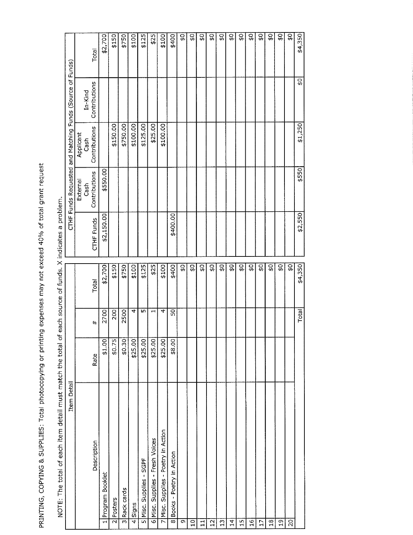PRINTING, COPYING & SUPPLIES: Total photocopying or printing expenses may not exceed 40% of total grant request

| Item Detail                                |         |                          |                         |            |                  |                   | CTHF Funds Requested and Matching Funds (Source of Funds) |           |
|--------------------------------------------|---------|--------------------------|-------------------------|------------|------------------|-------------------|-----------------------------------------------------------|-----------|
|                                            |         |                          |                         |            | External<br>Cash | Applicant<br>Cash | $In-Kind$                                                 |           |
| Description                                | Rate    | $\ddagger$               | Total                   | CTHF Funds | Contributions    | Contributions     | Contributions                                             | Total     |
| Program Booklet<br>$\overline{\mathbf{r}}$ | \$1.00  | 2700                     | \$2,700                 | \$2,150.00 | \$550.00         |                   |                                                           | \$2,700   |
| Posters<br>$\overline{\mathbf{c}}$         | \$0.75  | 200                      | \$150                   |            |                  | \$150.00          |                                                           | \$150     |
| Rack cards<br>$\overline{3}$               | 50.30   | 2500                     | \$750]                  |            |                  | \$750.00          |                                                           | \$750     |
| 4<br>Signs                                 | \$25.00 | 4                        | \$100                   |            |                  | \$100.00          |                                                           | \$100     |
| 5 Misc. Supplies - SGPF                    | \$25.00 | ıη                       | \$125                   |            |                  | \$125.00          |                                                           | \$125     |
| 6 Misc. Supplies - Fresh Voices            | \$25.00 | $\overline{\phantom{0}}$ | \$25                    |            |                  | \$25.00           |                                                           | \$25      |
| 7 Misc. Supplies - Poetry in Action        | \$25.00 | 4                        | \$100                   |            |                  | \$100.00          |                                                           | \$100     |
| 8 Books - Poetry in Action                 | \$8.00  | 50                       | \$400                   | \$400.00   |                  |                   |                                                           | \$400     |
| $\overline{\sigma}$                        |         |                          | 읎                       |            |                  |                   |                                                           | <u>ួ</u>  |
| $\overline{c}$                             |         |                          | $\overline{\mathbf{S}}$ |            |                  |                   |                                                           | \$Q       |
| $\mathbf{1}$                               |         |                          | 99                      |            |                  |                   |                                                           | <u>ទ្</u> |
| $\frac{1}{2}$                              |         |                          | ςł                      |            |                  |                   |                                                           | \$        |
| $\frac{1}{3}$                              |         |                          | Ş,                      |            |                  |                   |                                                           | င္တ       |
| $\overline{14}$                            |         |                          | ₿÷                      |            |                  |                   |                                                           | 읎         |
| 15                                         |         |                          | ٥Ļ                      |            |                  |                   |                                                           | S)        |
| $\overline{16}$                            |         |                          | ں<br>پ                  |            |                  |                   |                                                           | <u>ួ</u>  |
| $\overline{17}$                            |         |                          | 읎                       |            |                  |                   |                                                           | ç,        |
| $\frac{8}{1}$                              |         |                          | \$Ō                     |            |                  |                   |                                                           | ςò        |
| $\overline{51}$                            |         |                          | \$O]                    |            |                  |                   |                                                           | <u>ួ</u>  |
| $\overline{5}$                             |         |                          | \$Ö                     |            |                  |                   |                                                           | Ĝ.        |
|                                            |         | Total                    | \$4,350                 | \$2,550    | \$550            | \$1,250           | <b>DE</b>                                                 | \$4,350   |

NOTE: The total of each item detail must match the total of each source of funds. X indicates a problem.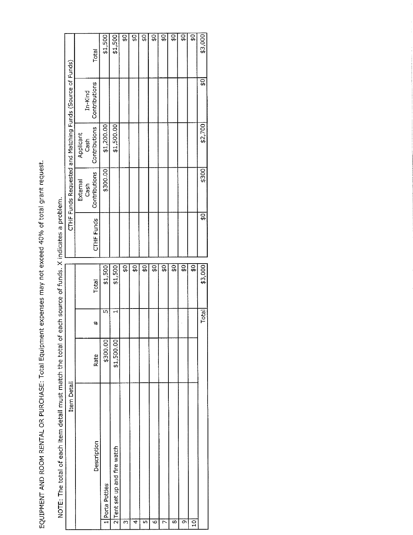EQUIPMENT AND ROOM RENTAL OR PURCHASE: Total Equipment expenses may not exceed 40% of total grant request.

|                                                           |                   | Total                | \$1,500         | \$1,500                      | \$O | $\overline{S}$ | $\overline{\mathbf{S}}$ | ु  | $\frac{1}{\mathfrak{p}}$ | 9<br>⊕ | $\overline{S}$ | \$Ö           | \$3,000    |
|-----------------------------------------------------------|-------------------|----------------------|-----------------|------------------------------|-----|----------------|-------------------------|----|--------------------------|--------|----------------|---------------|------------|
|                                                           | $In-Kind$         | Contributions        |                 |                              |     |                |                         |    |                          |        |                |               | <u>្ណុ</u> |
|                                                           | Applicant<br>Cash | <b>Contributions</b> | \$1,200.00      | \$1,500.00                   |     |                |                         |    |                          |        |                |               | \$2,700    |
| CTHF Funds Requested and Matching Funds (Source of Funds) | External<br>Cash  | Contributions        | \$300.00        |                              |     |                |                         |    |                          |        |                |               | \$300      |
|                                                           |                   | <b>CTHF Funds</b>    |                 |                              |     |                |                         |    |                          |        |                |               | \$0        |
|                                                           |                   | Total                | \$1,500         | \$1,500                      | ç,  | $\frac{1}{2}$  | Ç∲                      | \$ | <u>ួ</u>                 | ဝှ     | ςę             | ç<br>#        | \$3,000    |
|                                                           |                   | #                    | Lŋ              |                              |     |                |                         |    |                          |        |                |               | Total      |
|                                                           |                   | <b>Rate</b>          | \$300.00        | \$1,500.00]                  |     |                |                         |    |                          |        |                |               |            |
| Item Detail                                               |                   | Description          | 1 Porta Potties | 2 Tent set up and fire watch | m   | 4              | Щ                       | Ю  | ŗ                        | ∞      | <b>ා</b>       | $\frac{1}{2}$ |            |

NOTE: The total of each item detail must match the total of each source of funds. X indicates a problem.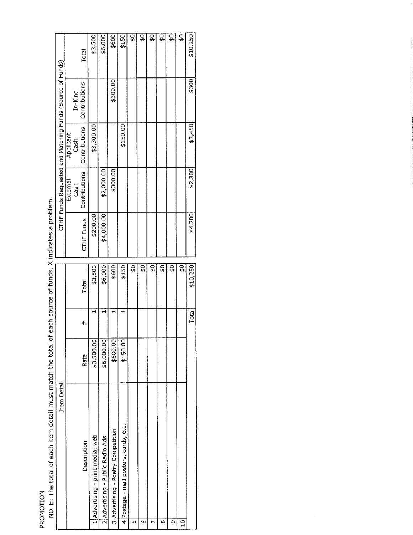PROMOTION

| $\vdots$                                                                          |
|-----------------------------------------------------------------------------------|
|                                                                                   |
|                                                                                   |
|                                                                                   |
|                                                                                   |
|                                                                                   |
|                                                                                   |
|                                                                                   |
|                                                                                   |
|                                                                                   |
|                                                                                   |
|                                                                                   |
|                                                                                   |
|                                                                                   |
| l                                                                                 |
|                                                                                   |
| :<br>:<br>:<br><br>;                                                              |
|                                                                                   |
|                                                                                   |
| ;                                                                                 |
|                                                                                   |
|                                                                                   |
|                                                                                   |
|                                                                                   |
|                                                                                   |
|                                                                                   |
|                                                                                   |
|                                                                                   |
|                                                                                   |
|                                                                                   |
|                                                                                   |
|                                                                                   |
|                                                                                   |
|                                                                                   |
|                                                                                   |
|                                                                                   |
| $\vdots$                                                                          |
|                                                                                   |
|                                                                                   |
|                                                                                   |
| ֧֧֧ׅ֧֧֧֦֧ׅ֧֧ׅ֧ׅ֧ׅ֧ׅ֧ׅ֧ׅ֧֧ׅ֧֛ׅ֧֧֧֚֚֚֚֚֚֚֚֚֚֚֚֚֚֚֚֚֝֝֝֓֜֓֝֓֝֓֝֬֜֓֝֬֜֜֓֜֜֜֜֓֝֬֜֜֓֝֬֝ |
|                                                                                   |
|                                                                                   |
|                                                                                   |
|                                                                                   |
|                                                                                   |
|                                                                                   |
|                                                                                   |
| į                                                                                 |
|                                                                                   |
|                                                                                   |
|                                                                                   |
|                                                                                   |
|                                                                                   |
|                                                                                   |
|                                                                                   |
|                                                                                   |
| $\vdots$<br>Ï                                                                     |
|                                                                                   |
|                                                                                   |
|                                                                                   |
|                                                                                   |
| $\overline{1}$                                                                    |
|                                                                                   |
| NOTE TA                                                                           |

|                                                           |           |         |                   |                                  |                                  |                                    |                                       | \$Q | $\overline{S}$ | <u>ର</u> | g<br>\$           | $\overline{5}$ | $\frac{1}{2}$           |          |
|-----------------------------------------------------------|-----------|---------|-------------------|----------------------------------|----------------------------------|------------------------------------|---------------------------------------|-----|----------------|----------|-------------------|----------------|-------------------------|----------|
|                                                           |           |         | <b>Total</b>      | \$3,500                          | \$6,000                          | \$600                              | \$150                                 |     |                |          |                   |                |                         | \$10,250 |
| CTHF Funds Requested and Matching Funds (Source of Funds) |           | In-Kind | Contributions     |                                  |                                  | \$300.00                           |                                       |     |                |          |                   |                |                         | \$300    |
|                                                           | Applicant | Cash    | Contributions     | \$3,300.00                       |                                  |                                    | \$150.00                              |     |                |          |                   |                |                         | \$3,450  |
|                                                           | External  | Cash    | Contributions     |                                  | \$2,000.00                       | \$300.00                           |                                       |     |                |          |                   |                |                         | \$2,300  |
|                                                           |           |         | <b>CTHE Funds</b> | \$200.00                         | \$4,000.00                       |                                    |                                       |     |                |          |                   |                |                         | \$4,200  |
|                                                           |           |         |                   |                                  |                                  |                                    |                                       | ۵Ĥ  | ςp             | <u>ួ</u> | ូ<br><del>ហ</del> | <u>្លុ</u>     | $\overline{\mathbb{G}}$ |          |
|                                                           |           |         | Total             | \$3,500                          | \$6,000                          | \$600                              | \$150                                 |     |                |          |                   |                |                         | \$10,250 |
|                                                           |           |         | #                 |                                  |                                  |                                    |                                       |     |                |          |                   |                |                         | Total    |
|                                                           |           |         | Rate              | \$3,500.00                       | \$6,000.00                       | \$600.00                           | \$150.00                              |     |                |          |                   |                |                         |          |
| Item Detail                                               |           |         | Description       | 1 Advertising - print media, web | 2 Advertising - Public Radio Ads | 3 Advertising - Poetry Competition | 4 Postage - mail posters, cards, etc. |     | ৩              |          | ∞                 | ሙ              | S                       |          |
|                                                           |           |         |                   |                                  |                                  |                                    |                                       |     |                |          |                   |                |                         |          |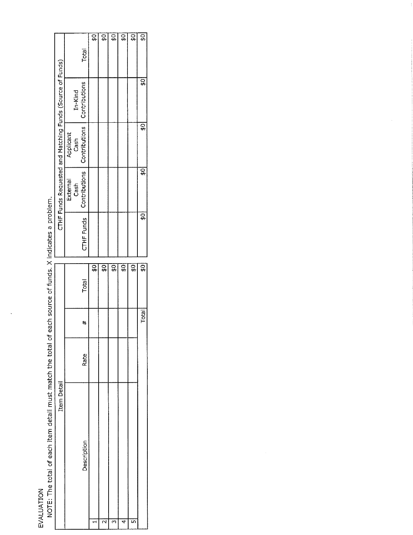EVALUATION<br>NOTE: The total of each item detail must match the total of each source of funds. X indicates a problem.

|                                                           | Total                                                                          | $\frac{1}{6}$ | $\overline{S}$          | ₫              | $\overline{S}$ | $\overline{S}$ | $\overline{5}$          |
|-----------------------------------------------------------|--------------------------------------------------------------------------------|---------------|-------------------------|----------------|----------------|----------------|-------------------------|
|                                                           | In-Kind                                                                        |               |                         |                |                |                | $\overline{5}$          |
|                                                           | Applicant<br>Cash                                                              |               |                         |                |                |                | $\frac{40}{3}$          |
| CTHF Funds Requested and Matching Funds (Source of Funds) | CTHF Funds   Contributions   Contributions   Contributions<br>External<br>Cash |               |                         |                |                |                | $\frac{1}{2}$           |
|                                                           |                                                                                |               |                         |                |                |                | \$0                     |
|                                                           |                                                                                | <b>ូ</b>      | $\overline{\mathbf{S}}$ | $\overline{S}$ | أن<br>⊕        | ç,             | $\overline{\mathbf{S}}$ |
|                                                           | Total                                                                          |               |                         |                |                |                |                         |
|                                                           | #                                                                              |               |                         |                |                |                | Total                   |
|                                                           | Rate                                                                           |               |                         |                |                |                |                         |
| Item Detail                                               | Description                                                                    |               |                         |                |                |                |                         |
|                                                           |                                                                                |               |                         |                |                |                |                         |

 $\frac{1}{2}$ 

 $\bar{z}$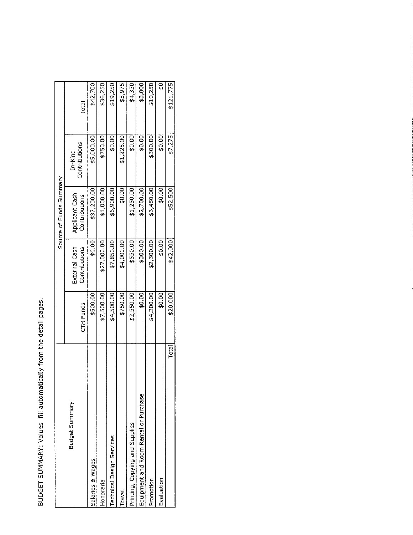BUDGET SUMMARY: Values fill automatically from the detail pages.

Ļ

|                                       |            |                                | Source of Funds Summary         |                          |           |
|---------------------------------------|------------|--------------------------------|---------------------------------|--------------------------|-----------|
| Budget Summary                        | CTH Funds  | External Cash<br>Contributions | Applicant Cash<br>Contributions | Contributions<br>In-Kind | Total     |
| Salaries & Wages                      | \$500.00   | \$0.00                         | \$37,200.00                     | \$5,000.00               | \$42,700  |
| Honoraria                             | \$7,500.00 | \$27,000.00                    | \$1,000.00                      | \$750.00                 | \$36,250  |
| <b>Fechnical Design Services</b>      | \$4,500.00 | \$7,850.00                     | \$6,900.00                      | \$0.00                   | \$19,250  |
| Travel                                | \$750.00   | \$4,000.00                     | \$0.00                          | \$1,225.00               | \$5,975   |
| Printing, Copying and Supplies        | \$2,550.00 | \$550.00                       | \$1,250.00                      | \$0.00                   | \$4,350   |
| Equipment and Room Rental or Purchase | \$0.00     | \$300.00                       | \$2,700.00                      | \$0.00                   | \$3,000   |
| Promotion                             | \$4,200.00 | \$2,300.00                     | \$3,450.00                      | \$300.00                 | \$10,250  |
| Evaluation                            | \$0.00     | \$0.00                         | \$0.00                          | \$0.00                   | Сф        |
| Total                                 | \$20,000   | \$42,000                       | \$52,500                        | \$7,275                  | \$121,775 |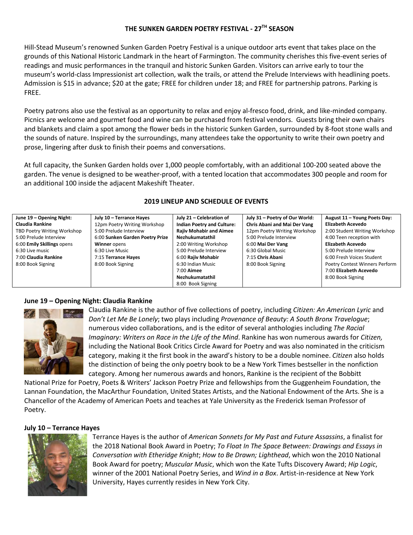### **THE SUNKEN GARDEN POETRY FESTIVAL - 27TH SEASON**

Hill-Stead Museum's renowned Sunken Garden Poetry Festival is a unique outdoor arts event that takes place on the grounds of this National Historic Landmark in the heart of Farmington. The community cherishes this five-event series of readings and music performances in the tranquil and historic Sunken Garden. Visitors can arrive early to tour the museum's world-class Impressionist art collection, walk the trails, or attend the Prelude Interviews with headlining poets. Admission is \$15 in advance; \$20 at the gate; FREE for children under 18; and FREE for partnership patrons. Parking is FREE.

Poetry patrons also use the festival as an opportunity to relax and enjoy al-fresco food, drink, and like-minded company. Picnics are welcome and gourmet food and wine can be purchased from festival vendors. Guests bring their own chairs and blankets and claim a spot among the flower beds in the historic Sunken Garden, surrounded by 8-foot stone walls and the sounds of nature. Inspired by the surroundings, many attendees take the opportunity to write their own poetry and prose, lingering after dusk to finish their poems and conversations.

At full capacity, the Sunken Garden holds over 1,000 people comfortably, with an additional 100-200 seated above the garden. The venue is designed to be weather-proof, with a tented location that accommodates 300 people and room for an additional 100 inside the adjacent Makeshift Theater.

| June 19 - Opening Night:    | July 10 - Terrance Hayes        | July 21 - Celebration of          | July 31 - Poetry of Our World: | August 11 - Young Poets Day:   |
|-----------------------------|---------------------------------|-----------------------------------|--------------------------------|--------------------------------|
| Claudia Rankine             | 12pm Poetry Writing Workshop    | <b>Indian Poetry and Culture:</b> | Chris Abani and Mai Der Vang   | Elizabeth Acevedo              |
| TBD Poetry Writing Workshop | 5:00 Prelude Interview          | <b>Rajiv Mohabir and Aimee</b>    | 12pm Poetry Writing Workshop   | 2:00 Student Writing Workshop  |
| 5:00 Prelude Interview      | 6:00 Sunken Garden Poetry Prize | Nezhukumatathil                   | 5:00 Prelude Interview         | 4:00 Teen reception with       |
| 6:00 Emily Skillings opens  | Winner opens                    | 2:00 Writing Workshop             | 6:00 Mai Der Vang              | Elizabeth Acevedo              |
| 6:30 Live music             | 6:30 Live Music                 | 5:00 Prelude Interview            | 6:30 Global Music              | 5:00 Prelude Interview         |
| 7:00 Claudia Rankine        | 7:15 Terrance Hayes             | 6:00 Rajiv Mohabir                | 7:15 Chris Abani               | 6:00 Fresh Voices Student      |
| 8:00 Book Signing           | 8:00 Book Signing               | 6:30 Indian Music                 | 8:00 Book Signing              | Poetry Contest Winners Perform |
|                             |                                 | 7:00 <b>Aimee</b>                 |                                | 7:00 Elizabeth Acevedo         |
|                             |                                 | Nezhukumatathil                   |                                | 8:00 Book Signing              |
|                             |                                 | 8:00 Book Signing                 |                                |                                |

### **2019 LINEUP AND SCHEDULE OF EVENTS**

### **June 19 – Opening Night: Claudia Rankine**



Claudia Rankine is the author of five collections of poetry, including *Citizen: An American Lyric* and *Don't Let Me Be Lonely*; two plays including *Provenance of Beauty: A South Bronx Travelogue*; numerous video collaborations, and is the editor of several anthologies including *The Racial Imaginary: Writers on Race in the Life of the Mind*. Rankine has won numerous awards for *Citizen,* including the National Book Critics Circle Award for Poetry and was also nominated in the criticism category, making it the first book in the award's history to be a double nominee. *Citizen* also holds the distinction of being the only poetry book to be a New York Times bestseller in the nonfiction category. Among her numerous awards and honors, Rankine is the recipient of the Bobbitt

National Prize for Poetry, Poets & Writers' Jackson Poetry Prize and fellowships from the Guggenheim Foundation, the Lannan Foundation, the MacArthur Foundation, United States Artists, and the National Endowment of the Arts. She is a Chancellor of the Academy of American Poets and teaches at Yale University as the Frederick Iseman Professor of Poetry.

### **July 10 – Terrance Hayes**



Terrance Hayes is the author of *American Sonnets for My Past and Future Assassins*, a finalist for the 2018 National Book Award in Poetry; *To Float In The Space Between: Drawings and Essays in Conversation with Etheridge Knight*; *How to Be Drawn; Lighthead*, which won the 2010 National Book Award for poetry; *Muscular Music*, which won the Kate Tufts Discovery Award; *Hip Logic*, winner of the 2001 National Poetry Series, and *Wind in a Box*. Artist-in-residence at New York University, Hayes currently resides in New York City.